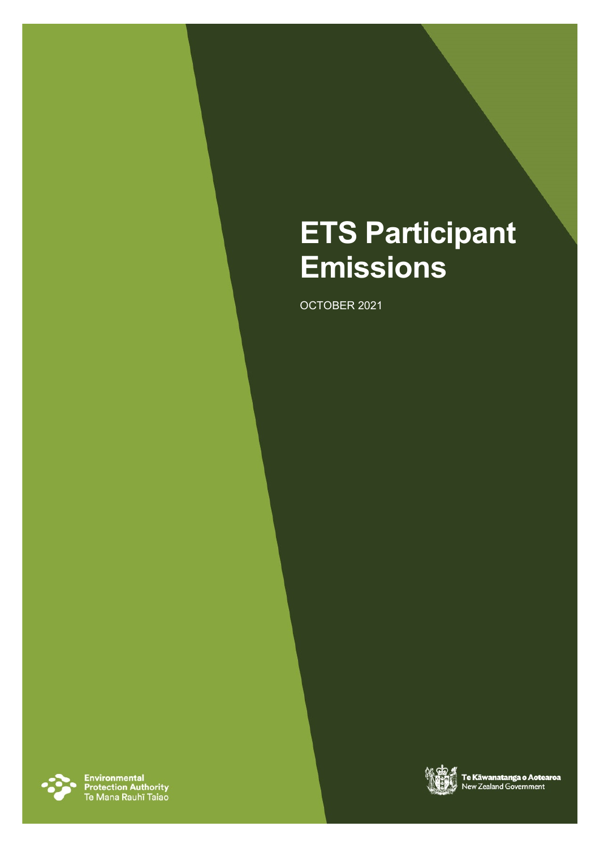# **ETS Participant Emissions**

OCTOBER 2021



Environmental<br>Protection Authority<br>Te Mana Rauhī Taiao

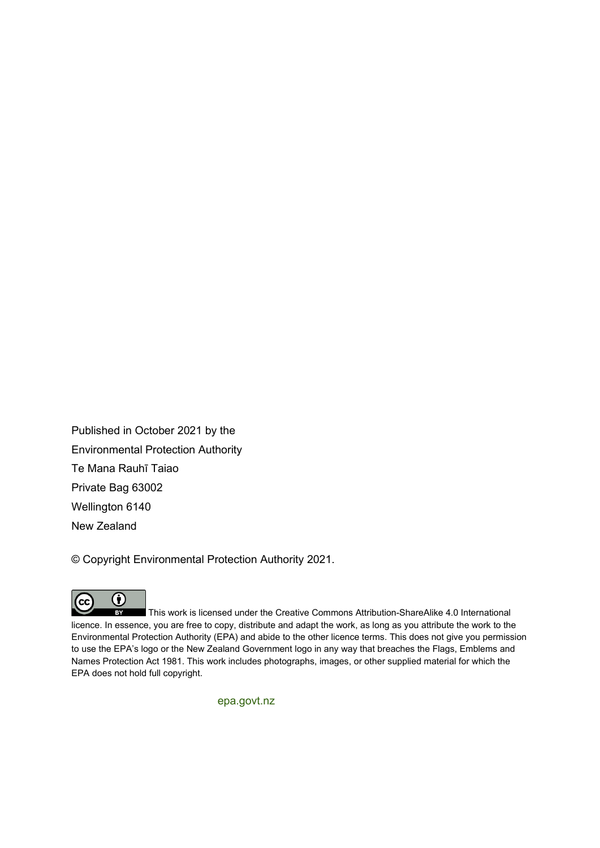Published in October 2021 by the Environmental Protection Authority Te Mana Rauhī Taiao Private Bag 63002 Wellington 6140 New Zealand

© Copyright Environmental Protection Authority 2021.



 $BY$ This work is licensed under the Creative Commons Attribution-ShareAlike 4.0 International licence. In essence, you are free to copy, distribute and adapt the work, as long as you attribute the work to the Environmental Protection Authority (EPA) and abide to the other licence terms. This does not give you permission to use the EPA's logo or the New Zealand Government logo in any way that breaches the Flags, Emblems and Names Protection Act 1981. This work includes photographs, images, or other supplied material for which the EPA does not hold full copyright.

[epa.govt.nz](http://www.epa.govt.nz/)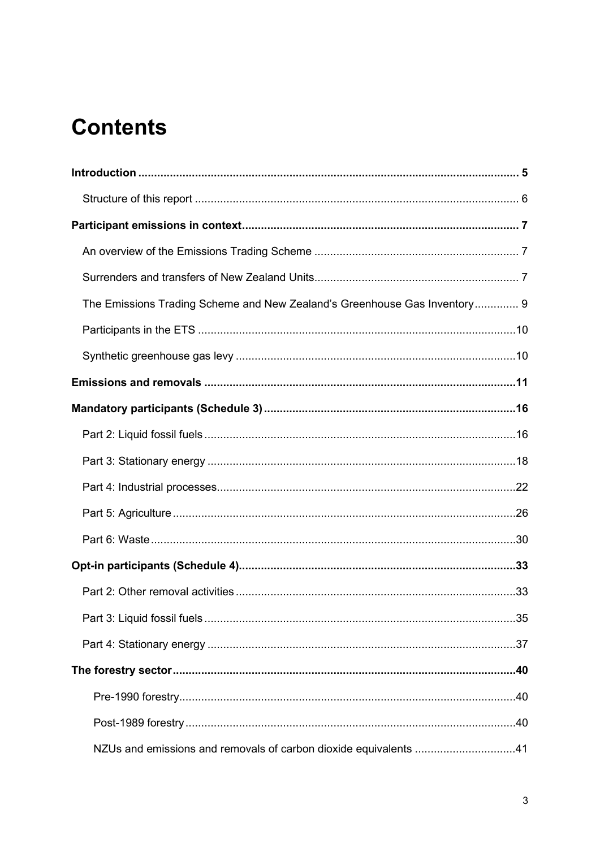## **Contents**

| The Emissions Trading Scheme and New Zealand's Greenhouse Gas Inventory 9 |  |
|---------------------------------------------------------------------------|--|
|                                                                           |  |
|                                                                           |  |
|                                                                           |  |
|                                                                           |  |
|                                                                           |  |
|                                                                           |  |
|                                                                           |  |
|                                                                           |  |
|                                                                           |  |
|                                                                           |  |
|                                                                           |  |
|                                                                           |  |
|                                                                           |  |
|                                                                           |  |
|                                                                           |  |
|                                                                           |  |
| NZUs and emissions and removals of carbon dioxide equivalents 41          |  |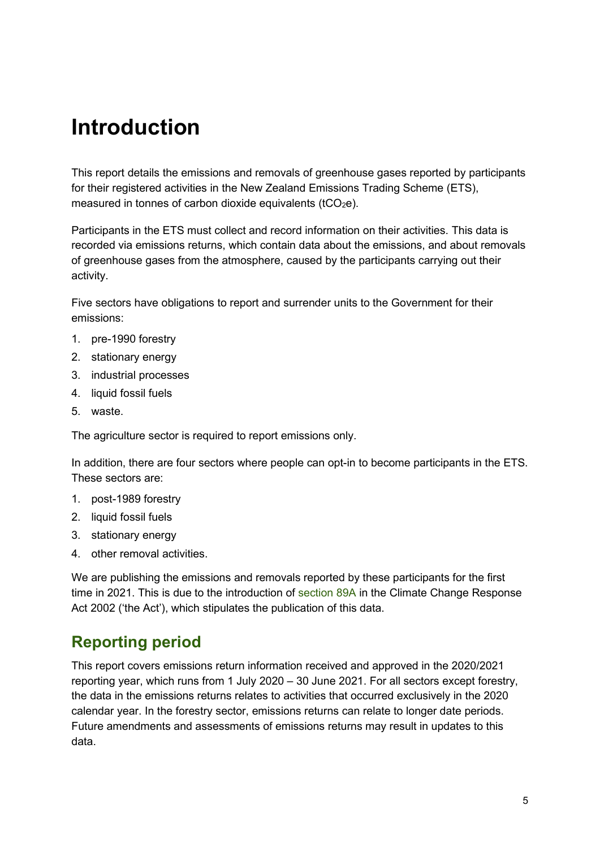## <span id="page-4-0"></span>**Introduction**

This report details the emissions and removals of greenhouse gases reported by participants for their registered activities in the New Zealand Emissions Trading Scheme (ETS), measured in tonnes of carbon dioxide equivalents ( $tCO<sub>2</sub>e$ ).

Participants in the ETS must collect and record information on their activities. This data is recorded via emissions returns, which contain data about the emissions, and about removals of greenhouse gases from the atmosphere, caused by the participants carrying out their activity.

Five sectors have obligations to report and surrender units to the Government for their emissions:

- 1. pre-1990 forestry
- 2. stationary energy
- 3. industrial processes
- 4. liquid fossil fuels
- 5. waste.

The agriculture sector is required to report emissions only.

In addition, there are four sectors where people can opt-in to become participants in the ETS. These sectors are:

- 1. post-1989 forestry
- 2. liquid fossil fuels
- 3. stationary energy
- 4. other removal activities.

We are publishing the emissions and removals reported by these participants for the first time in 2021. This is due to the introduction of [section 89A](https://www.legislation.govt.nz/act/public/2002/0040/latest/LMS368127.html) in the Climate Change Response Act 2002 ('the Act'), which stipulates the publication of this data.

## **Reporting period**

This report covers emissions return information received and approved in the 2020/2021 reporting year, which runs from 1 July 2020 – 30 June 2021. For all sectors except forestry, the data in the emissions returns relates to activities that occurred exclusively in the 2020 calendar year. In the forestry sector, emissions returns can relate to longer date periods. Future amendments and assessments of emissions returns may result in updates to this data.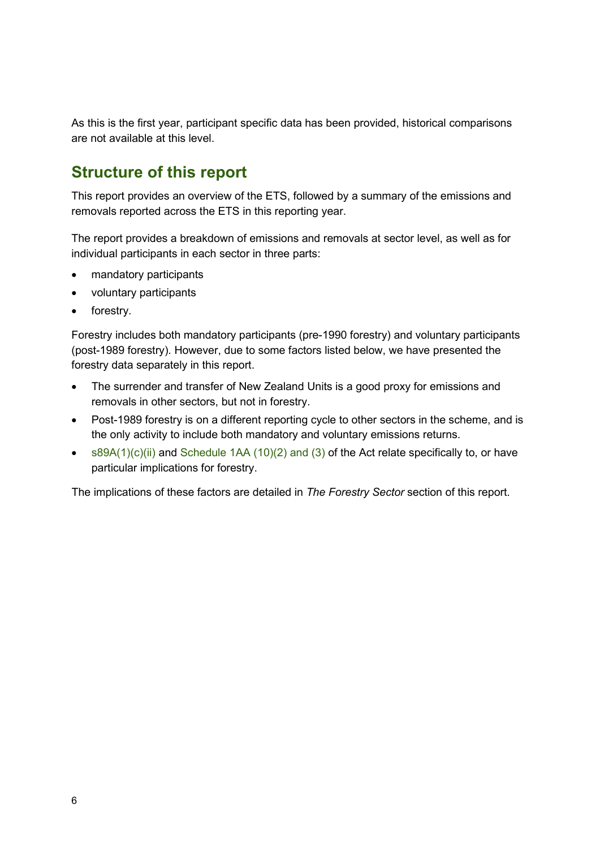As this is the first year, participant specific data has been provided, historical comparisons are not available at this level.

## <span id="page-5-0"></span>**Structure of this report**

This report provides an overview of the ETS, followed by a summary of the emissions and removals reported across the ETS in this reporting year.

The report provides a breakdown of emissions and removals at sector level, as well as for individual participants in each sector in three parts:

- mandatory participants
- voluntary participants
- forestry.

Forestry includes both mandatory participants (pre-1990 forestry) and voluntary participants (post-1989 forestry). However, due to some factors listed below, we have presented the forestry data separately in this report.

- The surrender and transfer of New Zealand Units is a good proxy for emissions and removals in other sectors, but not in forestry.
- Post-1989 forestry is on a different reporting cycle to other sectors in the scheme, and is the only activity to include both mandatory and voluntary emissions returns.
- [s89A\(1\)\(c\)\(ii\)](https://www.legislation.govt.nz/act/public/2002/0040/latest/LMS368127.html) and [Schedule 1AA \(10\)\(2\) and \(3\)](https://www.legislation.govt.nz/act/public/2002/0040/latest/LMS282075.html) of the Act relate specifically to, or have particular implications for forestry.

The implications of these factors are detailed in *[The Forestry Sector](#page-39-0)* section of this report.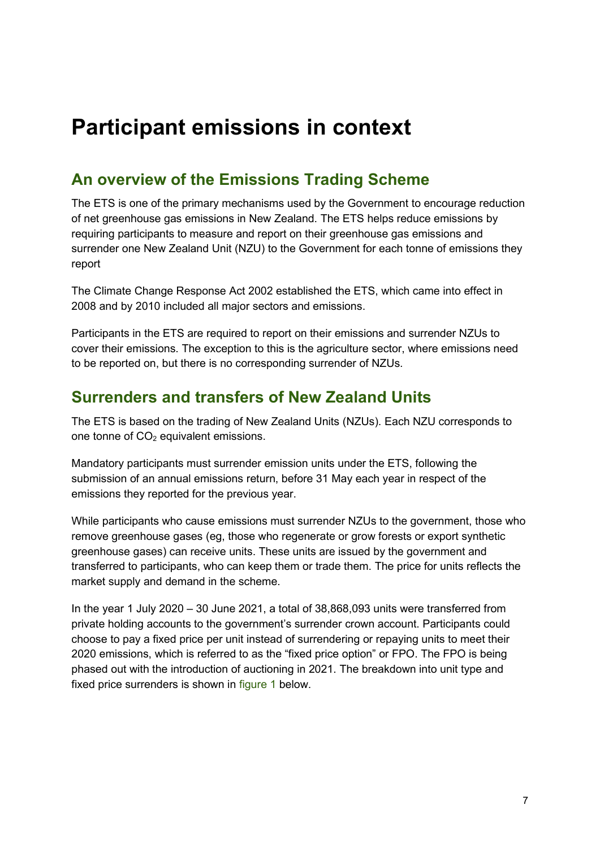## <span id="page-6-0"></span>**Participant emissions in context**

## <span id="page-6-1"></span>**An overview of the Emissions Trading Scheme**

The ETS is one of the primary mechanisms used by the Government to encourage reduction of net greenhouse gas emissions in New Zealand. The ETS helps reduce emissions by requiring participants to measure and report on their greenhouse gas emissions and surrender one New Zealand Unit (NZU) to the Government for each tonne of emissions they report

The Climate Change Response Act 2002 established the ETS, which came into effect in 2008 and by 2010 included all major sectors and emissions.

Participants in the ETS are required to report on their emissions and surrender NZUs to cover their emissions. The exception to this is the agriculture sector, where emissions need to be reported on, but there is no corresponding surrender of NZUs.

### <span id="page-6-2"></span>**Surrenders and transfers of New Zealand Units**

The ETS is based on the trading of New Zealand Units (NZUs). Each NZU corresponds to one tonne of  $CO<sub>2</sub>$  equivalent emissions.

Mandatory participants must surrender emission units under the ETS, following the submission of an annual emissions return, before 31 May each year in respect of the emissions they reported for the previous year.

While participants who cause emissions must surrender NZUs to the government, those who remove greenhouse gases (eg, those who regenerate or grow forests or export synthetic greenhouse gases) can receive units. These units are issued by the government and transferred to participants, who can keep them or trade them. The price for units reflects the market supply and demand in the scheme.

In the year 1 July 2020 – 30 June 2021, a total of 38,868,093 units were transferred from private holding accounts to the government's surrender crown account. Participants could choose to pay a fixed price per unit instead of surrendering or repaying units to meet their 2020 emissions, which is referred to as the "fixed price option" or FPO. The FPO is being phased out with the introduction of auctioning in 2021. The breakdown into unit type and fixed price surrenders is shown in [figure 1](#page-7-0) below.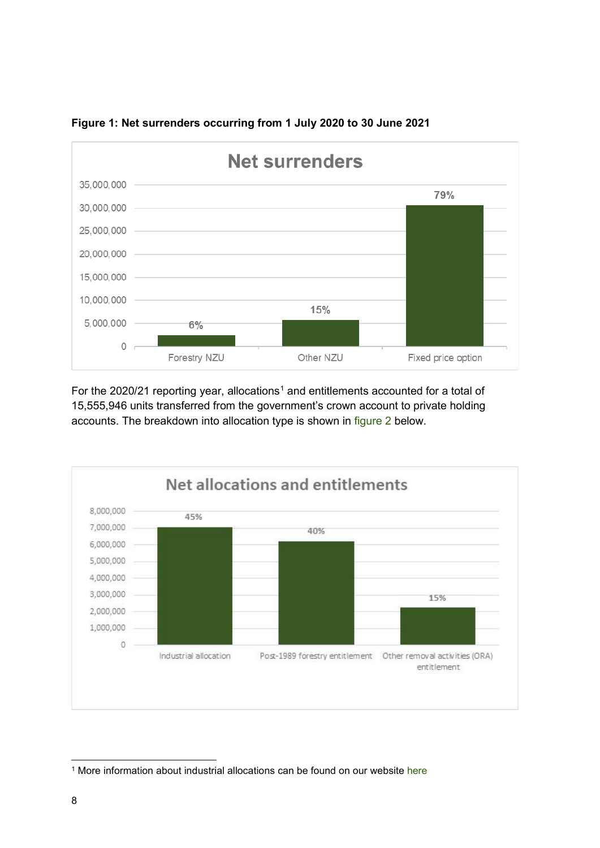

<span id="page-7-0"></span>

For the 2020/2[1](#page-7-2) reporting year, allocations<sup>1</sup> and entitlements accounted for a total of 15,555,946 units transferred from the government's crown account to private holding accounts. The breakdown into allocation type is shown in [figure 2](#page-7-1) below.

<span id="page-7-1"></span>

<span id="page-7-2"></span><sup>&</sup>lt;sup>1</sup> More information about industrial allocations can be found on our website [here](https://www.epa.govt.nz/industry-areas/emissions-trading-scheme/industrial-allocations/)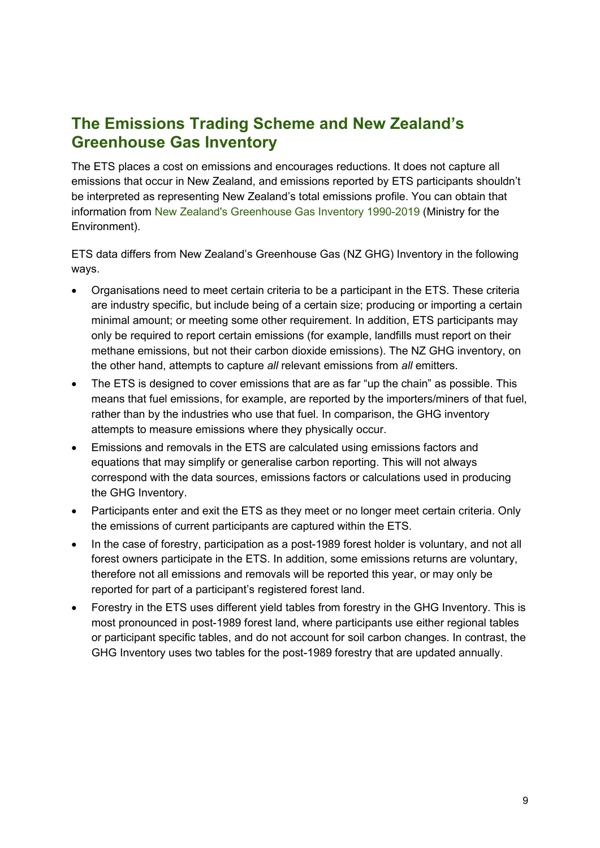## <span id="page-8-0"></span>**The Emissions Trading Scheme and New Zealand's Greenhouse Gas Inventory**

The ETS places a cost on emissions and encourages reductions. It does not capture all emissions that occur in New Zealand, and emissions reported by ETS participants shouldn't be interpreted as representing New Zealand's total emissions profile. You can obtain that information from [New Zealand's Greenhouse Gas Inventory 1990-2019](https://environment.govt.nz/publications/new-zealands-greenhouse-gas-inventory-1990-2019/) (Ministry for the Environment).

ETS data differs from New Zealand's Greenhouse Gas (NZ GHG) Inventory in the following ways.

- Organisations need to meet certain criteria to be a participant in the ETS. These criteria are industry specific, but include being of a certain size; producing or importing a certain minimal amount; or meeting some other requirement. In addition, ETS participants may only be required to report certain emissions (for example, landfills must report on their methane emissions, but not their carbon dioxide emissions). The NZ GHG inventory, on the other hand, attempts to capture *all* relevant emissions from *all* emitters.
- The ETS is designed to cover emissions that are as far "up the chain" as possible. This means that fuel emissions, for example, are reported by the importers/miners of that fuel, rather than by the industries who use that fuel. In comparison, the GHG inventory attempts to measure emissions where they physically occur.
- Emissions and removals in the ETS are calculated using emissions factors and equations that may simplify or generalise carbon reporting. This will not always correspond with the data sources, emissions factors or calculations used in producing the GHG Inventory.
- Participants enter and exit the ETS as they meet or no longer meet certain criteria. Only the emissions of current participants are captured within the ETS.
- In the case of forestry, participation as a post-1989 forest holder is voluntary, and not all forest owners participate in the ETS. In addition, some emissions returns are voluntary, therefore not all emissions and removals will be reported this year, or may only be reported for part of a participant's registered forest land.
- Forestry in the ETS uses different yield tables from forestry in the GHG Inventory. This is most pronounced in post-1989 forest land, where participants use either regional tables or participant specific tables, and do not account for soil carbon changes. In contrast, the GHG Inventory uses two tables for the post-1989 forestry that are updated annually.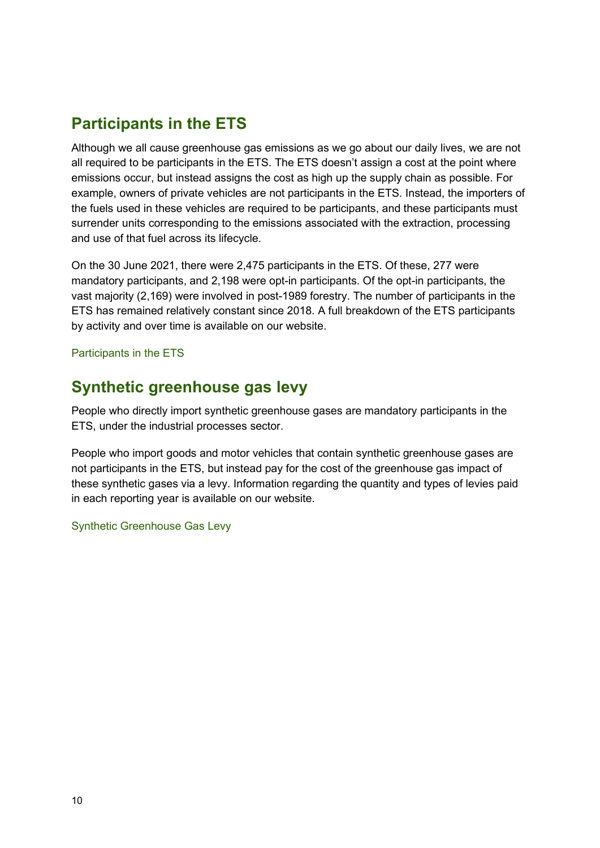## <span id="page-9-0"></span>**Participants in the ETS**

Although we all cause greenhouse gas emissions as we go about our daily lives, we are not all required to be participants in the ETS. The ETS doesn't assign a cost at the point where emissions occur, but instead assigns the cost as high up the supply chain as possible. For example, owners of private vehicles are not participants in the ETS. Instead, the importers of the fuels used in these vehicles are required to be participants, and these participants must surrender units corresponding to the emissions associated with the extraction, processing and use of that fuel across its lifecycle.

On the 30 June 2021, there were 2,475 participants in the ETS. Of these, 277 were mandatory participants, and 2,198 were opt-in participants. Of the opt-in participants, the vast majority (2,169) were involved in post-1989 forestry. The number of participants in the ETS has remained relatively constant since 2018. A full breakdown of the ETS participants by activity and over time is available on our website.

[Participants in the ETS](https://www.epa.govt.nz/industry-areas/emissions-trading-scheme/ets-reports/participants/)

## <span id="page-9-1"></span>**Synthetic greenhouse gas levy**

People who directly import synthetic greenhouse gases are mandatory participants in the ETS, under the [industrial processes](#page-21-0) sector.

People who import goods and motor vehicles that contain synthetic greenhouse gases are not participants in the ETS, but instead pay for the cost of the greenhouse gas impact of these synthetic gases via a levy. Information regarding the quantity and types of levies paid in each reporting year is available on our website.

#### [Synthetic Greenhouse Gas Levy](https://www.epa.govt.nz/industry-areas/emissions-trading-scheme/ets-reports/synthetic-greenhouse-gas-levy/)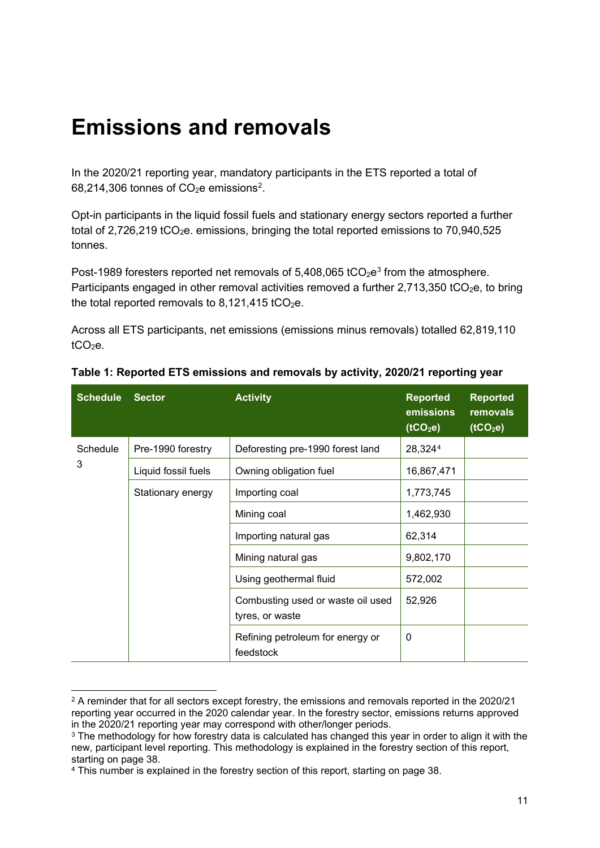## <span id="page-10-0"></span>**Emissions and removals**

In the 2020/21 reporting year, mandatory participants in the ETS reported a total of  $68,214,306$  $68,214,306$  $68,214,306$  tonnes of CO<sub>2</sub>e emissions<sup>2</sup>.

Opt-in participants in the liquid fossil fuels and stationary energy sectors reported a further total of 2,726,219 tCO<sub>2</sub>e. emissions, bringing the total reported emissions to 70,940,525 tonnes.

Post-1989 foresters reported net removals of  $5,408,065$  tCO<sub>2</sub>e<sup>[3](#page-10-2)</sup> from the atmosphere. Participants engaged in other removal activities removed a further  $2,713,350$  tCO<sub>2</sub>e, to bring the total reported removals to  $8,121,415$  tCO<sub>2</sub>e.

Across all ETS participants, net emissions (emissions minus removals) totalled 62,819,110  $tCO<sub>2</sub>e$ .

| <b>Schedule</b> | <b>Sector</b>       | <b>Activity</b>                                      | <b>Reported</b><br>emissions<br>$\overline{(tCO_2e)}$ | <b>Reported</b><br>removals<br>(tCO <sub>2</sub> e) |
|-----------------|---------------------|------------------------------------------------------|-------------------------------------------------------|-----------------------------------------------------|
| Schedule        | Pre-1990 forestry   | Deforesting pre-1990 forest land                     | 28,3244                                               |                                                     |
| 3               | Liquid fossil fuels | Owning obligation fuel                               | 16,867,471                                            |                                                     |
|                 | Stationary energy   | Importing coal                                       | 1,773,745                                             |                                                     |
|                 |                     | Mining coal                                          | 1,462,930                                             |                                                     |
|                 |                     | Importing natural gas                                | 62,314                                                |                                                     |
|                 |                     | Mining natural gas                                   | 9,802,170                                             |                                                     |
|                 |                     | Using geothermal fluid                               | 572,002                                               |                                                     |
|                 |                     | Combusting used or waste oil used<br>tyres, or waste | 52,926                                                |                                                     |
|                 |                     | Refining petroleum for energy or<br>feedstock        | 0                                                     |                                                     |

| Table 1: Reported ETS emissions and removals by activity, 2020/21 reporting year |
|----------------------------------------------------------------------------------|
|----------------------------------------------------------------------------------|

<span id="page-10-1"></span><sup>&</sup>lt;sup>2</sup> A reminder that for all sectors except forestry, the emissions and removals reported in the 2020/21 reporting year occurred in the 2020 calendar year. In the forestry sector, emissions returns approved in the 2020/21 reporting year may correspond with other/longer periods.

<span id="page-10-2"></span><sup>&</sup>lt;sup>3</sup> The methodology for how forestry data is calculated has changed this year in order to align it with the new, participant level reporting. This methodology is explained in the forestry section of this report, starting on page [38.](#page-39-0)

<span id="page-10-3"></span><sup>4</sup> This number is explained in the forestry section of this report, starting on page [38.](#page-39-0)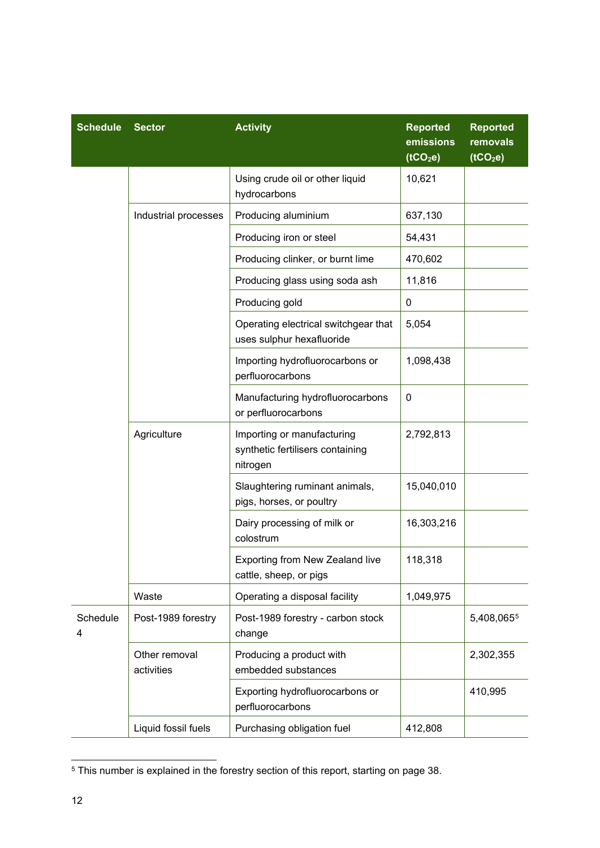| <b>Schedule</b> | <b>Sector</b>               | <b>Activity</b>                                                            | <b>Reported</b><br>emissions<br>(tCO <sub>2</sub> e) | <b>Reported</b><br>removals<br>(tCO <sub>2</sub> e) |
|-----------------|-----------------------------|----------------------------------------------------------------------------|------------------------------------------------------|-----------------------------------------------------|
|                 |                             | Using crude oil or other liquid<br>hydrocarbons                            | 10,621                                               |                                                     |
|                 | Industrial processes        | Producing aluminium                                                        | 637,130                                              |                                                     |
|                 |                             | Producing iron or steel                                                    | 54,431                                               |                                                     |
|                 |                             | Producing clinker, or burnt lime                                           | 470,602                                              |                                                     |
|                 |                             | Producing glass using soda ash                                             | 11,816                                               |                                                     |
|                 |                             | Producing gold                                                             | 0                                                    |                                                     |
|                 |                             | Operating electrical switchgear that<br>uses sulphur hexafluoride          | 5,054                                                |                                                     |
|                 |                             | Importing hydrofluorocarbons or<br>perfluorocarbons                        | 1,098,438                                            |                                                     |
|                 |                             | Manufacturing hydrofluorocarbons<br>or perfluorocarbons                    | 0                                                    |                                                     |
|                 | Agriculture                 | Importing or manufacturing<br>synthetic fertilisers containing<br>nitrogen | 2,792,813                                            |                                                     |
|                 |                             | Slaughtering ruminant animals,<br>pigs, horses, or poultry                 | 15,040,010                                           |                                                     |
|                 |                             | Dairy processing of milk or<br>colostrum                                   | 16,303,216                                           |                                                     |
|                 |                             | Exporting from New Zealand live<br>cattle, sheep, or pigs                  | 118,318                                              |                                                     |
|                 | Waste                       | Operating a disposal facility                                              | 1,049,975                                            |                                                     |
| Schedule<br>4   | Post-1989 forestry          | Post-1989 forestry - carbon stock<br>change                                |                                                      | 5,408,0655                                          |
|                 | Other removal<br>activities | Producing a product with<br>embedded substances                            |                                                      | 2,302,355                                           |
|                 |                             | Exporting hydrofluorocarbons or<br>perfluorocarbons                        |                                                      | 410,995                                             |
|                 | Liquid fossil fuels         | Purchasing obligation fuel                                                 | 412,808                                              |                                                     |

<span id="page-11-0"></span><sup>5</sup> This number is explained in the forestry section of this report, starting on page [38.](#page-39-0)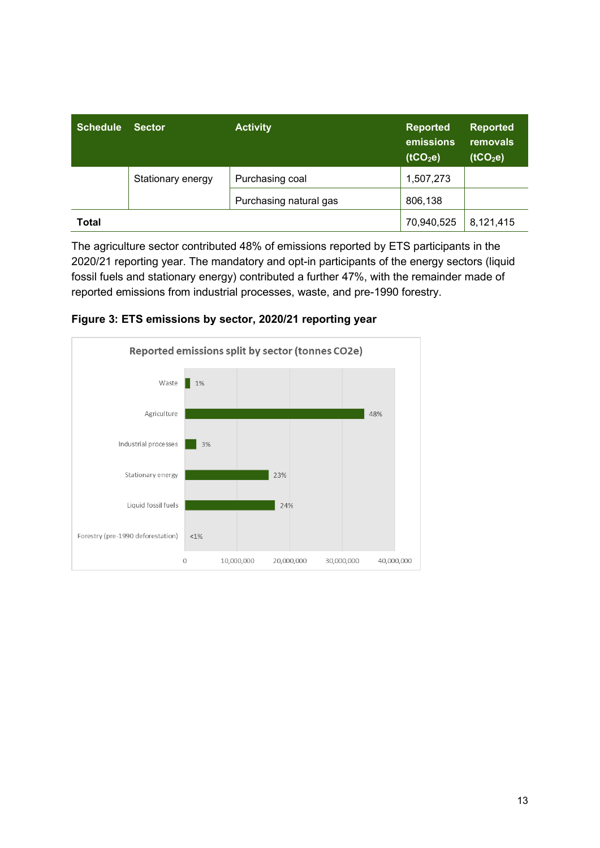| <b>Schedule</b> | <b>Sector</b>     | <b>Activity</b>        | <b>Reported</b><br>emissions<br>(tCO <sub>2</sub> e) | <b>Reported</b><br>removals<br>(tCO <sub>2</sub> e) |
|-----------------|-------------------|------------------------|------------------------------------------------------|-----------------------------------------------------|
|                 | Stationary energy | Purchasing coal        | 1,507,273                                            |                                                     |
|                 |                   | Purchasing natural gas | 806,138                                              |                                                     |
| <b>Total</b>    |                   |                        | 70,940,525                                           | 8,121,415                                           |

The agriculture sector contributed 48% of emissions reported by ETS participants in the 2020/21 reporting year. The mandatory and opt-in participants of the energy sectors (liquid fossil fuels and stationary energy) contributed a further 47%, with the remainder made of reported emissions from industrial processes, waste, and pre-1990 forestry.



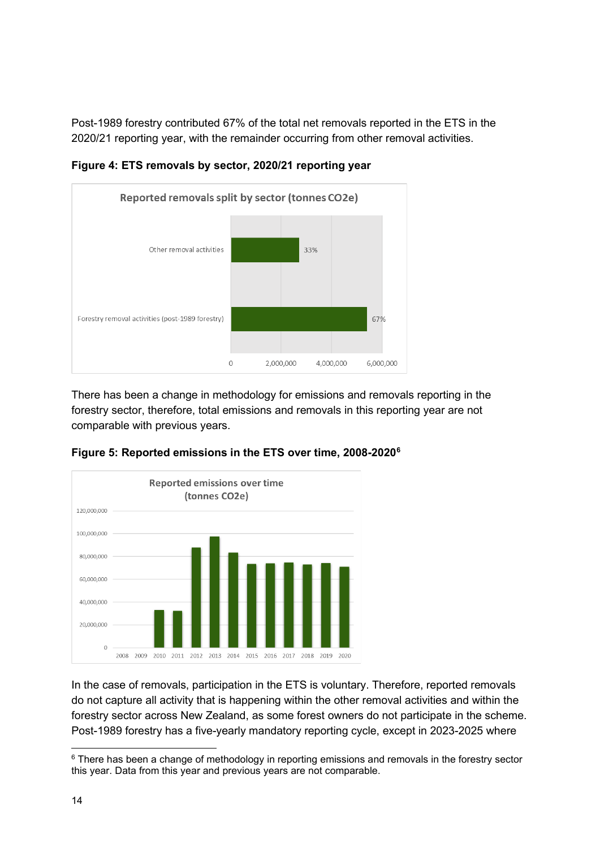Post-1989 forestry contributed 67% of the total net removals reported in the ETS in the 2020/21 reporting year, with the remainder occurring from other removal activities.



**Figure 4: ETS removals by sector, 2020/21 reporting year**

There has been a change in methodology for emissions and removals reporting in the forestry sector, therefore, total emissions and removals in this reporting year are not comparable with previous years.



**Figure 5: Reported emissions in the ETS over time, 2008-2020[6](#page-13-0)**

In the case of removals, participation in the ETS is voluntary. Therefore, reported removals do not capture all activity that is happening within the other removal activities and within the forestry sector across New Zealand, as some forest owners do not participate in the scheme. Post-1989 forestry has a five-yearly mandatory reporting cycle, except in 2023-2025 where

<span id="page-13-0"></span> $6$  There has been a change of methodology in reporting emissions and removals in the forestry sector this year. Data from this year and previous years are not comparable.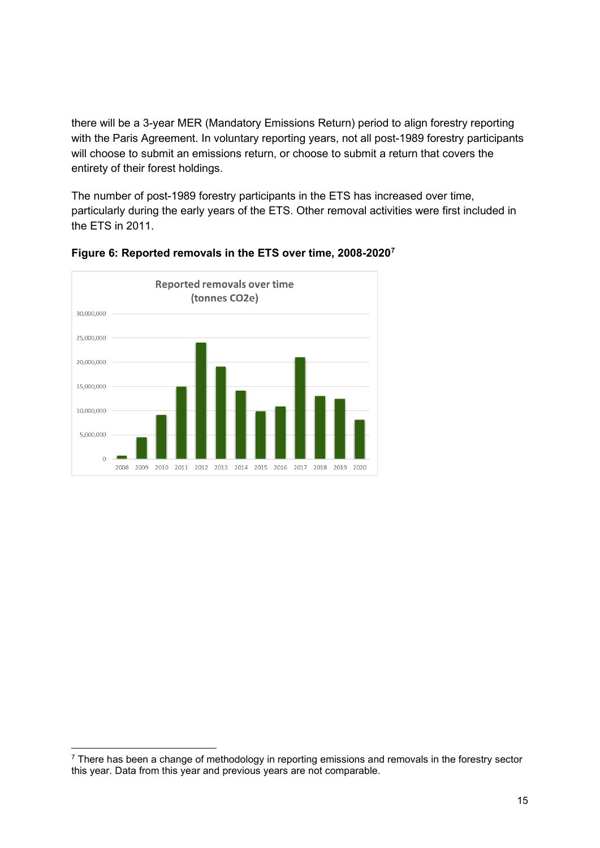there will be a 3-year MER (Mandatory Emissions Return) period to align forestry reporting with the Paris Agreement. In voluntary reporting years, not all post-1989 forestry participants will choose to submit an emissions return, or choose to submit a return that covers the entirety of their forest holdings.

The number of post-1989 forestry participants in the ETS has increased over time, particularly during the early years of the ETS. Other removal activities were first included in the ETS in 2011.



**Figure 6: Reported removals in the ETS over time, 2008-2020[7](#page-14-0)**

<span id="page-14-0"></span> $7$  There has been a change of methodology in reporting emissions and removals in the forestry sector this year. Data from this year and previous years are not comparable.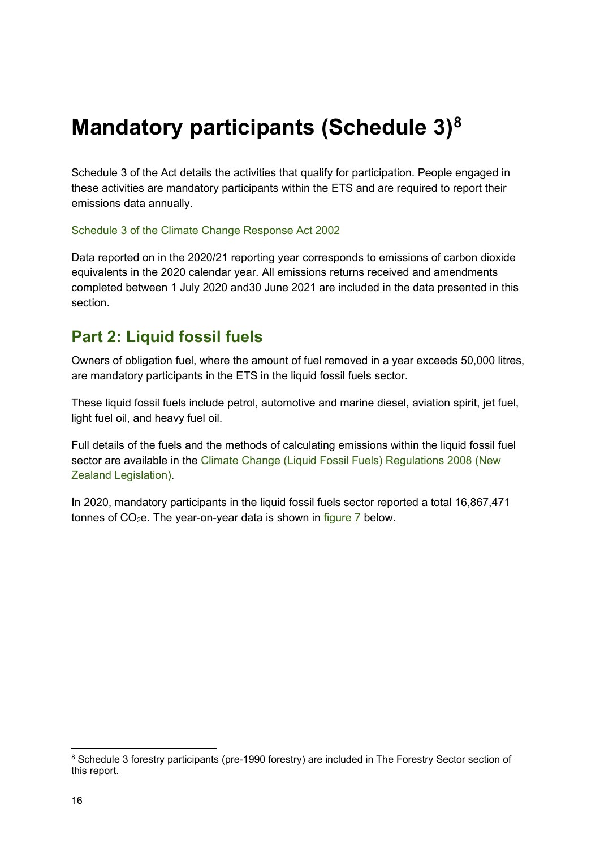## <span id="page-15-0"></span>**Mandatory participants (Schedule 3)[8](#page-15-3)**

Schedule 3 of the Act details the activities that qualify for participation. People engaged in these activities are mandatory participants within the ETS and are required to report their emissions data annually.

[Schedule 3 of the Climate Change Response Act 2002](https://www.legislation.govt.nz/act/public/2002/0040/latest/DLM1662841.html)

Data reported on in the 2020/21 reporting year corresponds to emissions of carbon dioxide equivalents in the 2020 calendar year. All emissions returns received and amendments completed between 1 July 2020 and30 June 2021 are included in the data presented in this section.

## <span id="page-15-1"></span>**Part 2: Liquid fossil fuels**

Owners of obligation fuel, where the amount of fuel removed in a year exceeds 50,000 litres, are mandatory participants in the ETS in the liquid fossil fuels sector.

These liquid fossil fuels include petrol, automotive and marine diesel, aviation spirit, jet fuel, light fuel oil, and heavy fuel oil.

Full details of the fuels and the methods of calculating emissions within the liquid fossil fuel sector are available in the [Climate Change \(Liquid Fossil Fuels\) Regulations 2008](https://www.legislation.govt.nz/regulation/public/2008/0356/latest/whole.html#DLM1635632) (New Zealand Legislation).

<span id="page-15-2"></span>In 2020, mandatory participants in the liquid fossil fuels sector reported a total 16,867,471 tonnes of  $CO<sub>2</sub>e$ . The year-on-year data is shown in [figure 7](#page-15-2) below.

<span id="page-15-3"></span><sup>8</sup> Schedule 3 forestry participants (pre-1990 forestry) are included in [The Forestry Sector](#page-39-0) section of this report.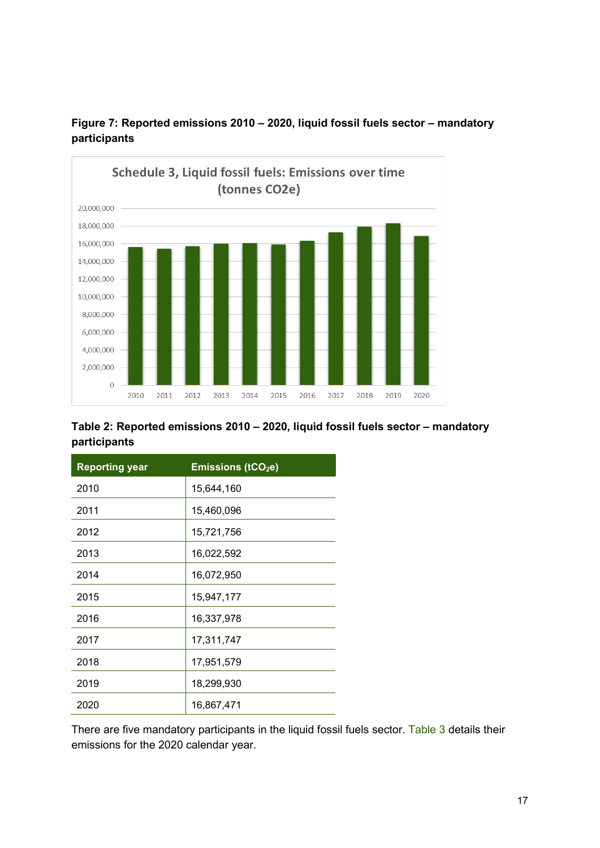

**Figure 7: Reported emissions 2010 – 2020, liquid fossil fuels sector – mandatory participants**

#### **Table 2: Reported emissions 2010 – 2020, liquid fossil fuels sector – mandatory participants**

| <b>Reporting year</b> | <b>Emissions (tCO2e)</b> |
|-----------------------|--------------------------|
| 2010                  | 15,644,160               |
| 2011                  | 15,460,096               |
| 2012                  | 15,721,756               |
| 2013                  | 16,022,592               |
| 2014                  | 16,072,950               |
| 2015                  | 15,947,177               |
| 2016                  | 16,337,978               |
| 2017                  | 17,311,747               |
| 2018                  | 17,951,579               |
| 2019                  | 18,299,930               |
| 2020                  | 16,867,471               |

There are five mandatory participants in the liquid fossil fuels sector. [Table 3](#page-17-1) details their emissions for the 2020 calendar year.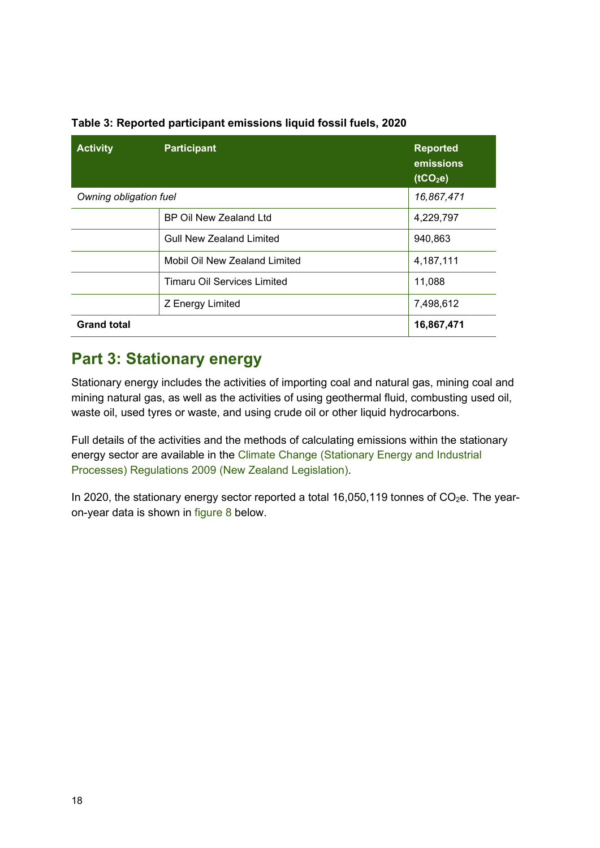| <b>Activity</b>        | <b>Participant</b>                 | <b>Reported</b><br>emissions<br>(tCO <sub>2</sub> e) |
|------------------------|------------------------------------|------------------------------------------------------|
| Owning obligation fuel |                                    | 16,867,471                                           |
|                        | <b>BP Oil New Zealand Ltd</b>      | 4,229,797                                            |
|                        | <b>Gull New Zealand Limited</b>    | 940,863                                              |
|                        | Mobil Oil New Zealand Limited      | 4,187,111                                            |
|                        | <b>Timaru Oil Services Limited</b> | 11,088                                               |
|                        | Z Energy Limited                   | 7,498,612                                            |
| <b>Grand total</b>     |                                    | 16,867,471                                           |

#### <span id="page-17-1"></span>**Table 3: Reported participant emissions liquid fossil fuels, 2020**

### <span id="page-17-0"></span>**Part 3: Stationary energy**

Stationary energy includes the activities of importing coal and natural gas, mining coal and mining natural gas, as well as the activities of using geothermal fluid, combusting used oil, waste oil, used tyres or waste, and using crude oil or other liquid hydrocarbons.

Full details of the activities and the methods of calculating emissions within the stationary energy sector are available in the [Climate Change \(Stationary Energy and Industrial](https://www.legislation.govt.nz/regulation/public/2009/0285/latest/DLM2394207.html)  [Processes\) Regulations 2009](https://www.legislation.govt.nz/regulation/public/2009/0285/latest/DLM2394207.html) (New Zealand Legislation).

<span id="page-17-2"></span>In 2020, the stationary energy sector reported a total 16,050,119 tonnes of  $CO<sub>2</sub>e$ . The yearon-year data is shown in [figure 8](#page-17-2) below.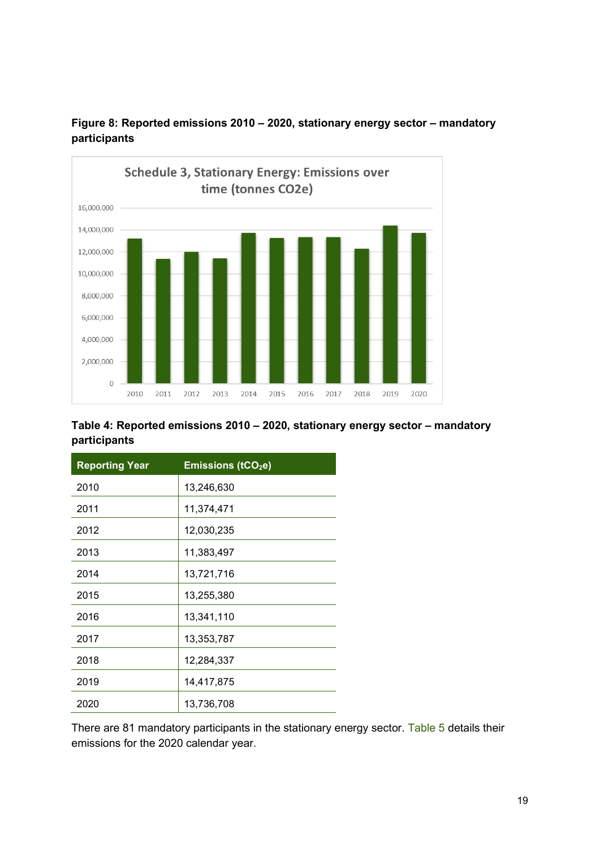

**Figure 8: Reported emissions 2010 – 2020, stationary energy sector – mandatory participants**

#### **Table 4: Reported emissions 2010 – 2020, stationary energy sector – mandatory participants**

| <b>Reporting Year</b> | <b>Emissions (tCO<sub>2</sub>e)</b> |
|-----------------------|-------------------------------------|
| 2010                  | 13,246,630                          |
| 2011                  | 11,374,471                          |
| 2012                  | 12,030,235                          |
| 2013                  | 11,383,497                          |
| 2014                  | 13,721,716                          |
| 2015                  | 13,255,380                          |
| 2016                  | 13,341,110                          |
| 2017                  | 13,353,787                          |
| 2018                  | 12,284,337                          |
| 2019                  | 14,417,875                          |
| 2020                  | 13,736,708                          |

<span id="page-18-0"></span>There are 81 mandatory participants in the stationary energy sector. [Table 5](#page-18-0) details their emissions for the 2020 calendar year.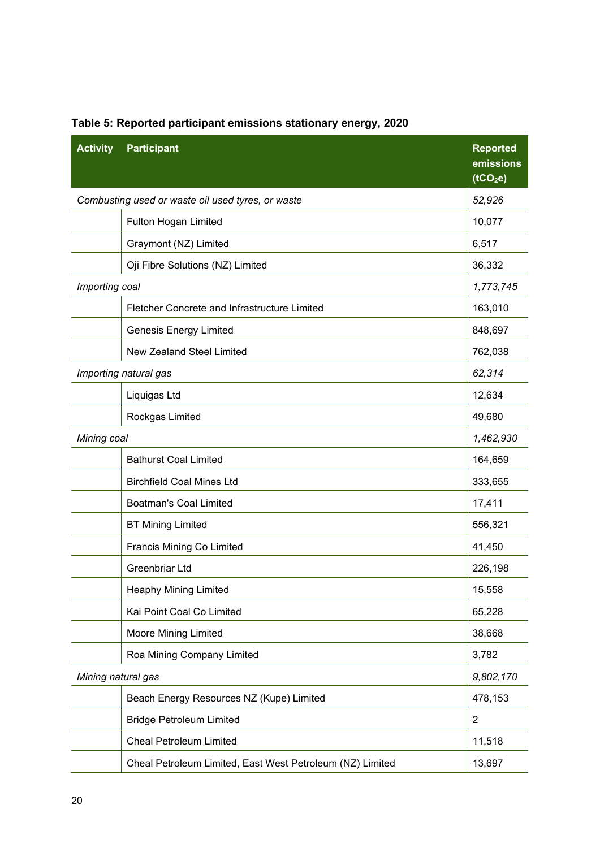| <b>Activity</b>    | <b>Participant</b>                                        | <b>Reported</b><br>emissions<br>(tCO <sub>2</sub> e) |
|--------------------|-----------------------------------------------------------|------------------------------------------------------|
|                    | Combusting used or waste oil used tyres, or waste         | 52,926                                               |
|                    | Fulton Hogan Limited                                      | 10,077                                               |
|                    | Graymont (NZ) Limited                                     | 6,517                                                |
|                    | Oji Fibre Solutions (NZ) Limited                          | 36,332                                               |
| Importing coal     |                                                           | 1,773,745                                            |
|                    | Fletcher Concrete and Infrastructure Limited              | 163,010                                              |
|                    | <b>Genesis Energy Limited</b>                             | 848,697                                              |
|                    | <b>New Zealand Steel Limited</b>                          | 762,038                                              |
|                    | Importing natural gas                                     | 62,314                                               |
|                    | Liquigas Ltd                                              | 12,634                                               |
|                    | Rockgas Limited                                           | 49,680                                               |
| Mining coal        |                                                           | 1,462,930                                            |
|                    | <b>Bathurst Coal Limited</b>                              | 164,659                                              |
|                    | <b>Birchfield Coal Mines Ltd</b>                          | 333,655                                              |
|                    | <b>Boatman's Coal Limited</b>                             | 17,411                                               |
|                    | <b>BT Mining Limited</b>                                  | 556,321                                              |
|                    | <b>Francis Mining Co Limited</b>                          | 41,450                                               |
|                    | Greenbriar Ltd                                            | 226,198                                              |
|                    | <b>Heaphy Mining Limited</b>                              | 15,558                                               |
|                    | Kai Point Coal Co Limited                                 | 65,228                                               |
|                    | <b>Moore Mining Limited</b>                               | 38,668                                               |
|                    | Roa Mining Company Limited                                | 3,782                                                |
| Mining natural gas |                                                           | 9,802,170                                            |
|                    | Beach Energy Resources NZ (Kupe) Limited                  | 478,153                                              |
|                    | <b>Bridge Petroleum Limited</b>                           | $\overline{2}$                                       |
|                    | <b>Cheal Petroleum Limited</b>                            | 11,518                                               |
|                    | Cheal Petroleum Limited, East West Petroleum (NZ) Limited | 13,697                                               |

## **Table 5: Reported participant emissions stationary energy, 2020**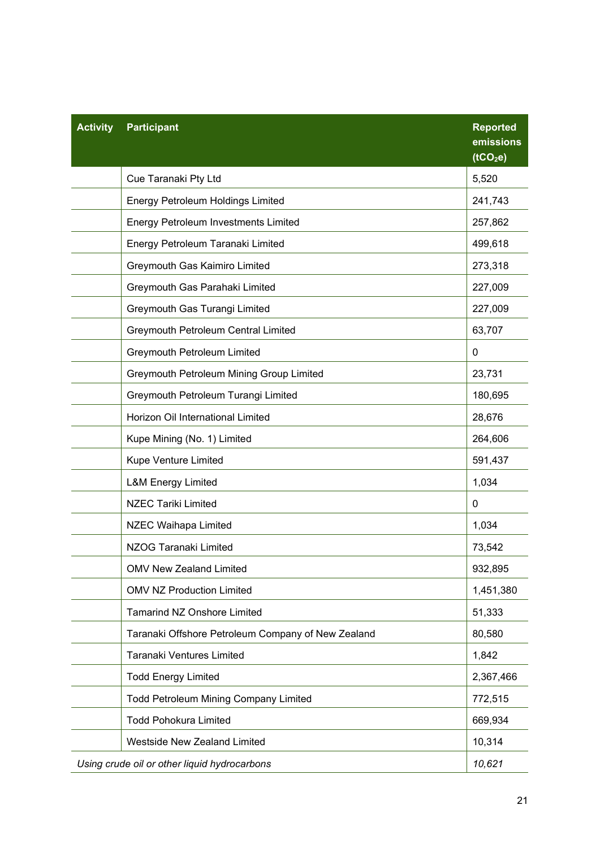| <b>Activity</b> | <b>Participant</b>                                 | <b>Reported</b><br>emissions<br>(tCO <sub>2</sub> e) |
|-----------------|----------------------------------------------------|------------------------------------------------------|
|                 | Cue Taranaki Pty Ltd                               | 5,520                                                |
|                 | <b>Energy Petroleum Holdings Limited</b>           | 241,743                                              |
|                 | <b>Energy Petroleum Investments Limited</b>        | 257,862                                              |
|                 | Energy Petroleum Taranaki Limited                  | 499,618                                              |
|                 | Greymouth Gas Kaimiro Limited                      | 273,318                                              |
|                 | Greymouth Gas Parahaki Limited                     | 227,009                                              |
|                 | Greymouth Gas Turangi Limited                      | 227,009                                              |
|                 | Greymouth Petroleum Central Limited                | 63,707                                               |
|                 | Greymouth Petroleum Limited                        | 0                                                    |
|                 | Greymouth Petroleum Mining Group Limited           | 23,731                                               |
|                 | Greymouth Petroleum Turangi Limited                | 180,695                                              |
|                 | Horizon Oil International Limited                  | 28,676                                               |
|                 | Kupe Mining (No. 1) Limited                        | 264,606                                              |
|                 | Kupe Venture Limited                               | 591,437                                              |
|                 | <b>L&amp;M Energy Limited</b>                      | 1,034                                                |
|                 | <b>NZEC Tariki Limited</b>                         | $\Omega$                                             |
|                 | NZEC Waihapa Limited                               | 1,034                                                |
|                 | NZOG Taranaki Limited                              | 73,542                                               |
|                 | <b>OMV New Zealand Limited</b>                     | 932,895                                              |
|                 | <b>OMV NZ Production Limited</b>                   | 1,451,380                                            |
|                 | <b>Tamarind NZ Onshore Limited</b>                 | 51,333                                               |
|                 | Taranaki Offshore Petroleum Company of New Zealand | 80,580                                               |
|                 | Taranaki Ventures Limited                          | 1,842                                                |
|                 | <b>Todd Energy Limited</b>                         | 2,367,466                                            |
|                 | <b>Todd Petroleum Mining Company Limited</b>       | 772,515                                              |
|                 | <b>Todd Pohokura Limited</b>                       | 669,934                                              |
|                 | <b>Westside New Zealand Limited</b>                | 10,314                                               |
|                 | Using crude oil or other liquid hydrocarbons       | 10,621                                               |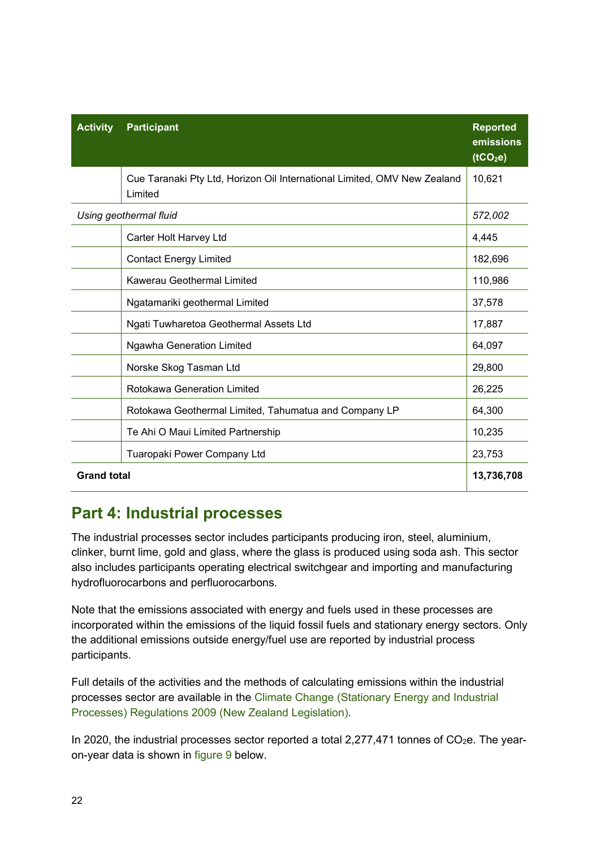| <b>Activity</b>    | <b>Participant</b>                                                                  | <b>Reported</b><br>emissions<br>(tCO <sub>2</sub> e) |
|--------------------|-------------------------------------------------------------------------------------|------------------------------------------------------|
|                    | Cue Taranaki Pty Ltd, Horizon Oil International Limited, OMV New Zealand<br>Limited | 10,621                                               |
|                    | Using geothermal fluid                                                              | 572,002                                              |
|                    | Carter Holt Harvey Ltd                                                              | 4,445                                                |
|                    | <b>Contact Energy Limited</b>                                                       | 182,696                                              |
|                    | <b>Kawerau Geothermal Limited</b>                                                   | 110,986                                              |
|                    | Ngatamariki geothermal Limited                                                      | 37,578                                               |
|                    | Ngati Tuwharetoa Geothermal Assets Ltd                                              | 17,887                                               |
|                    | <b>Ngawha Generation Limited</b>                                                    | 64,097                                               |
|                    | Norske Skog Tasman Ltd                                                              | 29,800                                               |
|                    | <b>Rotokawa Generation Limited</b>                                                  | 26,225                                               |
|                    | Rotokawa Geothermal Limited, Tahumatua and Company LP                               | 64,300                                               |
|                    | Te Ahi O Maui Limited Partnership                                                   | 10,235                                               |
|                    | Tuaropaki Power Company Ltd                                                         | 23,753                                               |
| <b>Grand total</b> |                                                                                     | 13,736,708                                           |

## <span id="page-21-0"></span>**Part 4: Industrial processes**

The industrial processes sector includes participants producing iron, steel, aluminium, clinker, burnt lime, gold and glass, where the glass is produced using soda ash. This sector also includes participants operating electrical switchgear and importing and manufacturing hydrofluorocarbons and perfluorocarbons.

Note that the emissions associated with energy and fuels used in these processes are incorporated within the emissions of the liquid fossil fuels and stationary energy sectors. Only the additional emissions outside energy/fuel use are reported by industrial process participants.

Full details of the activities and the methods of calculating emissions within the industrial processes sector are available in the [Climate Change \(Stationary Energy and Industrial](https://www.legislation.govt.nz/regulation/public/2009/0285/latest/DLM2394207.html)  [Processes\) Regulations 2009](https://www.legislation.govt.nz/regulation/public/2009/0285/latest/DLM2394207.html) (New Zealand Legislation).

In 2020, the industrial processes sector reported a total  $2,277,471$  tonnes of  $CO<sub>2</sub>e$ . The yearon-year data is shown in [figure 9](#page-22-0) below.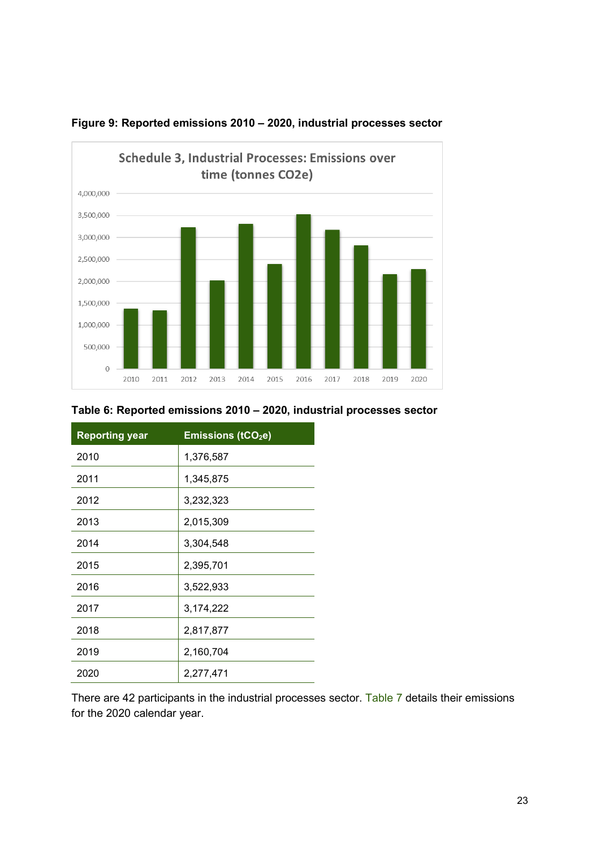

<span id="page-22-0"></span>

| <b>Reporting year</b> | <b>Emissions (tCO2e)</b> |
|-----------------------|--------------------------|
| 2010                  | 1,376,587                |
| 2011                  | 1,345,875                |
| 2012                  | 3,232,323                |
| 2013                  | 2,015,309                |
| 2014                  | 3,304,548                |
| 2015                  | 2,395,701                |
| 2016                  | 3,522,933                |
| 2017                  | 3,174,222                |
| 2018                  | 2,817,877                |
| 2019                  | 2,160,704                |
| 2020                  | 2,277,471                |

<span id="page-22-1"></span>There are 42 participants in the industrial processes sector. [Table 7](#page-22-1) details their emissions for the 2020 calendar year.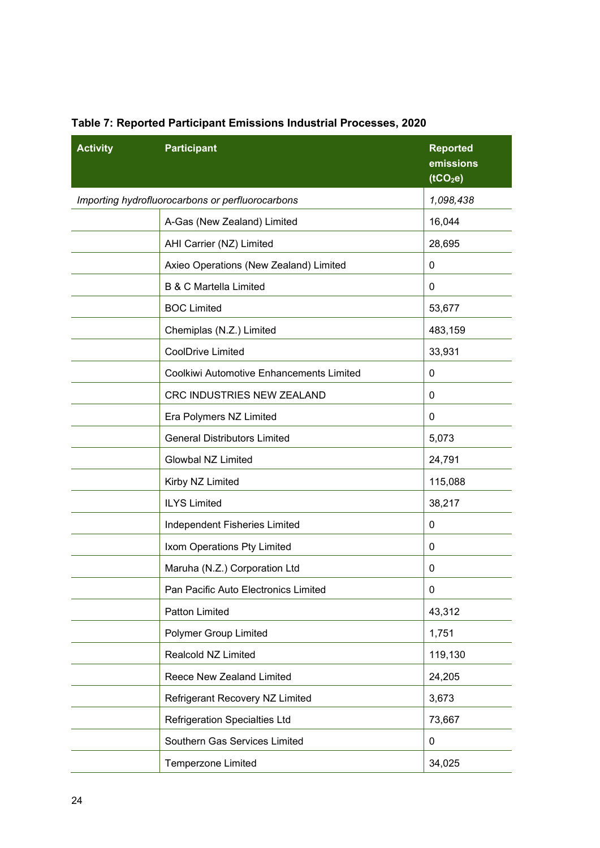| <b>Activity</b> | <b>Participant</b>                               | <b>Reported</b><br>emissions<br>(tCO <sub>2</sub> e) |
|-----------------|--------------------------------------------------|------------------------------------------------------|
|                 | Importing hydrofluorocarbons or perfluorocarbons | 1,098,438                                            |
|                 | A-Gas (New Zealand) Limited                      | 16,044                                               |
|                 | AHI Carrier (NZ) Limited                         | 28,695                                               |
|                 | Axieo Operations (New Zealand) Limited           | 0                                                    |
|                 | <b>B &amp; C Martella Limited</b>                | 0                                                    |
|                 | <b>BOC Limited</b>                               | 53,677                                               |
|                 | Chemiplas (N.Z.) Limited                         | 483,159                                              |
|                 | <b>CoolDrive Limited</b>                         | 33,931                                               |
|                 | Coolkiwi Automotive Enhancements Limited         | 0                                                    |
|                 | CRC INDUSTRIES NEW ZEALAND                       | 0                                                    |
|                 | Era Polymers NZ Limited                          | 0                                                    |
|                 | <b>General Distributors Limited</b>              | 5,073                                                |
|                 | <b>Glowbal NZ Limited</b>                        | 24,791                                               |
|                 | Kirby NZ Limited                                 | 115,088                                              |
|                 | <b>ILYS Limited</b>                              | 38,217                                               |
|                 | Independent Fisheries Limited                    | 0                                                    |
|                 | Ixom Operations Pty Limited                      | 0                                                    |
|                 | Maruha (N.Z.) Corporation Ltd                    | 0                                                    |
|                 | Pan Pacific Auto Electronics Limited             | 0                                                    |
|                 | Patton Limited                                   | 43,312                                               |
|                 | Polymer Group Limited                            | 1,751                                                |
|                 | Realcold NZ Limited                              | 119,130                                              |
|                 | Reece New Zealand Limited                        | 24,205                                               |
|                 | Refrigerant Recovery NZ Limited                  | 3,673                                                |
|                 | <b>Refrigeration Specialties Ltd</b>             | 73,667                                               |
|                 | Southern Gas Services Limited                    | 0                                                    |
|                 | Temperzone Limited                               | 34,025                                               |

### **Table 7: Reported Participant Emissions Industrial Processes, 2020**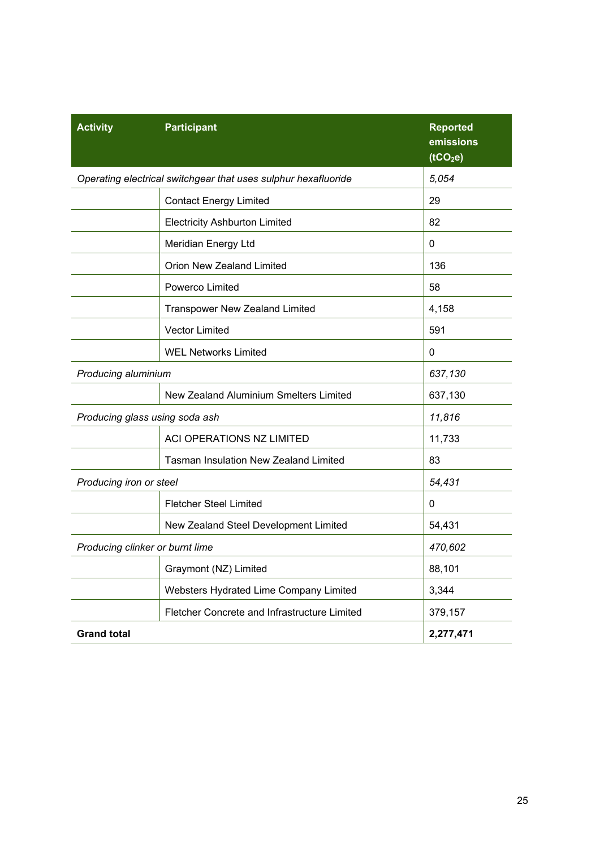| <b>Activity</b>                        | <b>Participant</b>                                             | <b>Reported</b><br>emissions<br>(tCO <sub>2</sub> e) |
|----------------------------------------|----------------------------------------------------------------|------------------------------------------------------|
|                                        | Operating electrical switchgear that uses sulphur hexafluoride | 5,054                                                |
|                                        | <b>Contact Energy Limited</b>                                  | 29                                                   |
|                                        | <b>Electricity Ashburton Limited</b>                           | 82                                                   |
|                                        | Meridian Energy Ltd                                            | 0                                                    |
|                                        | <b>Orion New Zealand Limited</b>                               | 136                                                  |
|                                        | Powerco Limited                                                | 58                                                   |
|                                        | <b>Transpower New Zealand Limited</b>                          | 4,158                                                |
|                                        | <b>Vector Limited</b>                                          | 591                                                  |
|                                        | <b>WEL Networks Limited</b>                                    | 0                                                    |
| Producing aluminium                    |                                                                | 637,130                                              |
| New Zealand Aluminium Smelters Limited |                                                                | 637,130                                              |
| Producing glass using soda ash         |                                                                | 11,816                                               |
|                                        | ACI OPERATIONS NZ LIMITED                                      | 11,733                                               |
|                                        | <b>Tasman Insulation New Zealand Limited</b>                   | 83                                                   |
| Producing iron or steel                |                                                                | 54,431                                               |
|                                        | <b>Fletcher Steel Limited</b>                                  | 0                                                    |
|                                        | New Zealand Steel Development Limited                          | 54,431                                               |
| Producing clinker or burnt lime        |                                                                | 470,602                                              |
| Graymont (NZ) Limited                  |                                                                | 88,101                                               |
|                                        | Websters Hydrated Lime Company Limited                         | 3,344                                                |
|                                        | Fletcher Concrete and Infrastructure Limited                   | 379,157                                              |
| <b>Grand total</b>                     |                                                                | 2,277,471                                            |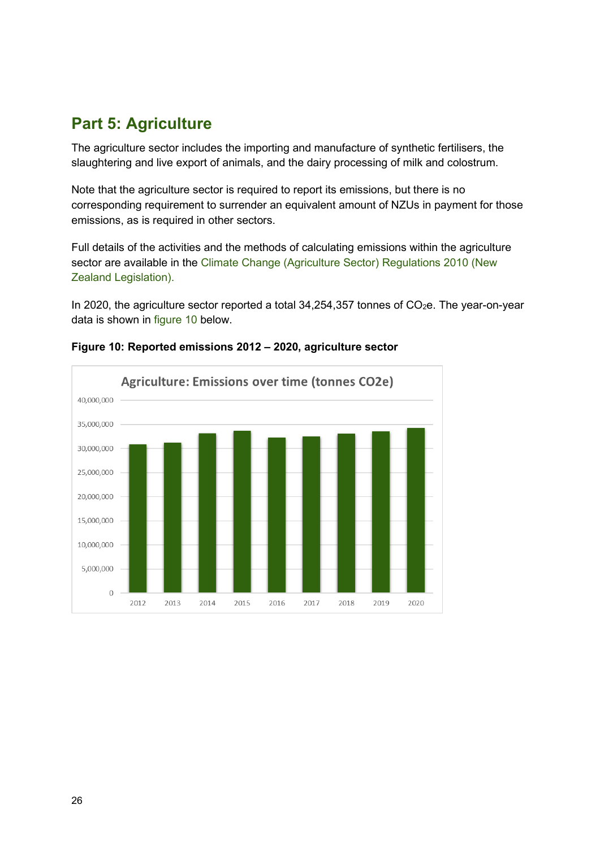## <span id="page-25-0"></span>**Part 5: Agriculture**

The agriculture sector includes the importing and manufacture of synthetic fertilisers, the slaughtering and live export of animals, and the dairy processing of milk and colostrum.

Note that the agriculture sector is required to report its emissions, but there is no corresponding requirement to surrender an equivalent amount of NZUs in payment for those emissions, as is required in other sectors.

Full details of the activities and the methods of calculating emissions within the agriculture sector are available in the [Climate Change \(Agriculture Sector\) Regulations 2010](https://www.legislation.govt.nz/regulation/public/2010/0335/latest/DLM3253001.html) (New [Zealand Legislation\).](https://www.legislation.govt.nz/regulation/public/2010/0335/latest/DLM3253001.html)

In 2020, the agriculture sector reported a total  $34,254,357$  tonnes of  $CO<sub>2</sub>e$ . The year-on-year data is shown in [figure 10](#page-25-1) below.



<span id="page-25-1"></span>**Figure 10: Reported emissions 2012 – 2020, agriculture sector**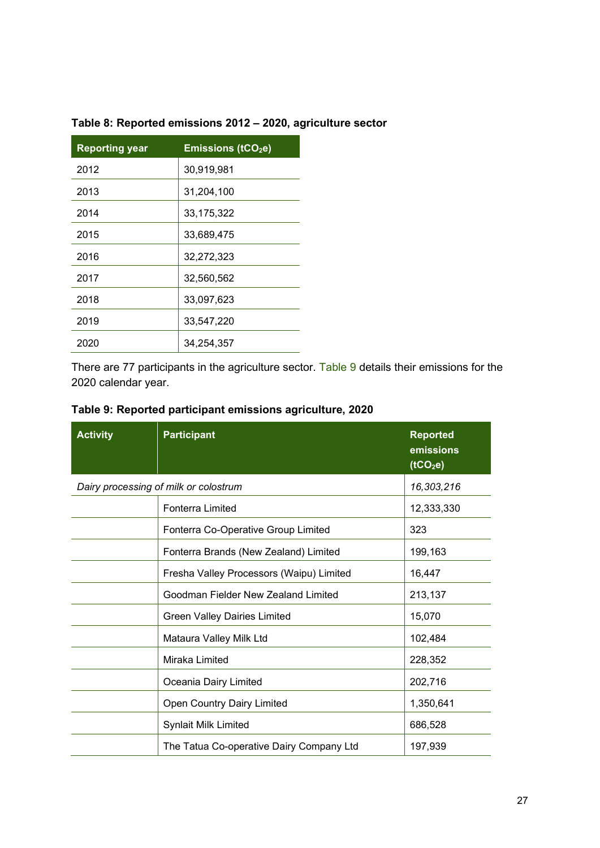| <b>Reporting year</b> | <b>Emissions (tCO2e)</b> |
|-----------------------|--------------------------|
| 2012                  | 30,919,981               |
| 2013                  | 31,204,100               |
| 2014                  | 33,175,322               |
| 2015                  | 33,689,475               |
| 2016                  | 32,272,323               |
| 2017                  | 32,560,562               |
| 2018                  | 33,097,623               |
| 2019                  | 33,547,220               |
| 2020                  | 34,254,357               |
|                       |                          |

#### **Table 8: Reported emissions 2012 – 2020, agriculture sector**

There are 77 participants in the agriculture sector. [Table 9](#page-26-0) details their emissions for the 2020 calendar year.

<span id="page-26-0"></span>

| Table 9: Reported participant emissions agriculture, 2020 |  |  |  |  |
|-----------------------------------------------------------|--|--|--|--|
|-----------------------------------------------------------|--|--|--|--|

| <b>Activity</b> | <b>Participant</b>                       | <b>Reported</b><br>emissions<br>(tCO <sub>2</sub> e) |
|-----------------|------------------------------------------|------------------------------------------------------|
|                 | Dairy processing of milk or colostrum    | 16,303,216                                           |
|                 | Fonterra Limited                         | 12,333,330                                           |
|                 | Fonterra Co-Operative Group Limited      | 323                                                  |
|                 | Fonterra Brands (New Zealand) Limited    | 199,163                                              |
|                 | Fresha Valley Processors (Waipu) Limited | 16,447                                               |
|                 | Goodman Fielder New Zealand Limited      | 213,137                                              |
|                 | <b>Green Valley Dairies Limited</b>      | 15,070                                               |
|                 | Mataura Valley Milk Ltd                  | 102,484                                              |
|                 | Miraka Limited                           | 228,352                                              |
|                 | Oceania Dairy Limited                    | 202,716                                              |
|                 | <b>Open Country Dairy Limited</b>        | 1,350,641                                            |
|                 | <b>Synlait Milk Limited</b>              | 686,528                                              |
|                 | The Tatua Co-operative Dairy Company Ltd | 197,939                                              |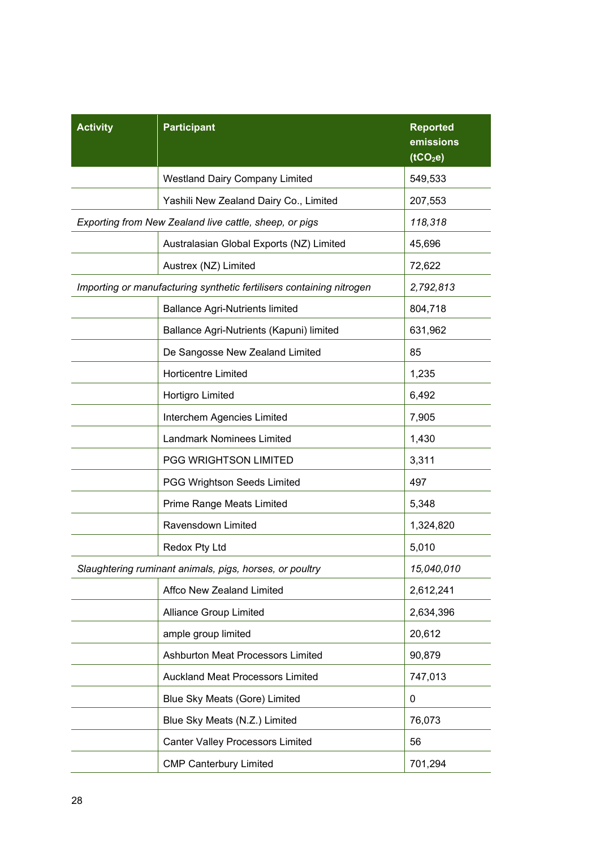| <b>Activity</b> | <b>Participant</b>                                                   | <b>Reported</b><br>emissions<br>(tCO <sub>2</sub> e) |
|-----------------|----------------------------------------------------------------------|------------------------------------------------------|
|                 | <b>Westland Dairy Company Limited</b>                                | 549,533                                              |
|                 | Yashili New Zealand Dairy Co., Limited                               | 207,553                                              |
|                 | Exporting from New Zealand live cattle, sheep, or pigs               | 118,318                                              |
|                 | Australasian Global Exports (NZ) Limited                             | 45,696                                               |
|                 | Austrex (NZ) Limited                                                 | 72,622                                               |
|                 | Importing or manufacturing synthetic fertilisers containing nitrogen | 2,792,813                                            |
|                 | <b>Ballance Agri-Nutrients limited</b>                               | 804,718                                              |
|                 | Ballance Agri-Nutrients (Kapuni) limited                             | 631,962                                              |
|                 | De Sangosse New Zealand Limited                                      | 85                                                   |
|                 | <b>Horticentre Limited</b>                                           | 1,235                                                |
|                 | Hortigro Limited                                                     | 6,492                                                |
|                 | Interchem Agencies Limited                                           | 7,905                                                |
|                 | <b>Landmark Nominees Limited</b>                                     | 1,430                                                |
|                 | PGG WRIGHTSON LIMITED                                                | 3,311                                                |
|                 | <b>PGG Wrightson Seeds Limited</b>                                   | 497                                                  |
|                 | Prime Range Meats Limited                                            | 5,348                                                |
|                 | Ravensdown Limited                                                   | 1,324,820                                            |
|                 | Redox Pty Ltd                                                        | 5,010                                                |
|                 | Slaughtering ruminant animals, pigs, horses, or poultry              | 15,040,010                                           |
|                 | Affco New Zealand Limited                                            | 2,612,241                                            |
|                 | <b>Alliance Group Limited</b>                                        | 2,634,396                                            |
|                 | ample group limited                                                  | 20,612                                               |
|                 | Ashburton Meat Processors Limited                                    | 90,879                                               |
|                 | <b>Auckland Meat Processors Limited</b>                              | 747,013                                              |
|                 | Blue Sky Meats (Gore) Limited                                        | 0                                                    |
|                 | Blue Sky Meats (N.Z.) Limited                                        | 76,073                                               |
|                 | <b>Canter Valley Processors Limited</b>                              | 56                                                   |
|                 | <b>CMP Canterbury Limited</b>                                        | 701,294                                              |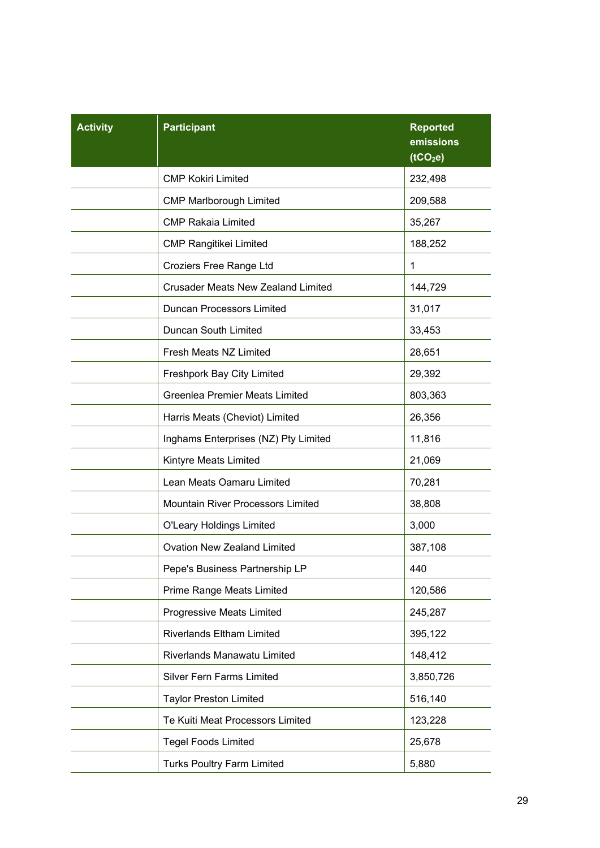| <b>Activity</b> | <b>Participant</b>                        | <b>Reported</b><br>emissions<br>(tCO <sub>2</sub> e) |
|-----------------|-------------------------------------------|------------------------------------------------------|
|                 | <b>CMP Kokiri Limited</b>                 | 232,498                                              |
|                 | <b>CMP Marlborough Limited</b>            | 209,588                                              |
|                 | <b>CMP Rakaia Limited</b>                 | 35,267                                               |
|                 | <b>CMP Rangitikei Limited</b>             | 188,252                                              |
|                 | Croziers Free Range Ltd                   | 1                                                    |
|                 | <b>Crusader Meats New Zealand Limited</b> | 144,729                                              |
|                 | <b>Duncan Processors Limited</b>          | 31,017                                               |
|                 | <b>Duncan South Limited</b>               | 33,453                                               |
|                 | Fresh Meats NZ Limited                    | 28,651                                               |
|                 | Freshpork Bay City Limited                | 29,392                                               |
|                 | <b>Greenlea Premier Meats Limited</b>     | 803,363                                              |
|                 | Harris Meats (Cheviot) Limited            | 26,356                                               |
|                 | Inghams Enterprises (NZ) Pty Limited      | 11,816                                               |
|                 | Kintyre Meats Limited                     | 21,069                                               |
|                 | Lean Meats Oamaru Limited                 | 70,281                                               |
|                 | Mountain River Processors Limited         | 38,808                                               |
|                 | <b>O'Leary Holdings Limited</b>           | 3,000                                                |
|                 | <b>Ovation New Zealand Limited</b>        | 387,108                                              |
|                 | Pepe's Business Partnership LP            | 440                                                  |
|                 | Prime Range Meats Limited                 | 120,586                                              |
|                 | Progressive Meats Limited                 | 245,287                                              |
|                 | <b>Riverlands Eltham Limited</b>          | 395,122                                              |
|                 | Riverlands Manawatu Limited               | 148,412                                              |
|                 | <b>Silver Fern Farms Limited</b>          | 3,850,726                                            |
|                 | <b>Taylor Preston Limited</b>             | 516,140                                              |
|                 | Te Kuiti Meat Processors Limited          | 123,228                                              |
|                 | <b>Tegel Foods Limited</b>                | 25,678                                               |
|                 | Turks Poultry Farm Limited                | 5,880                                                |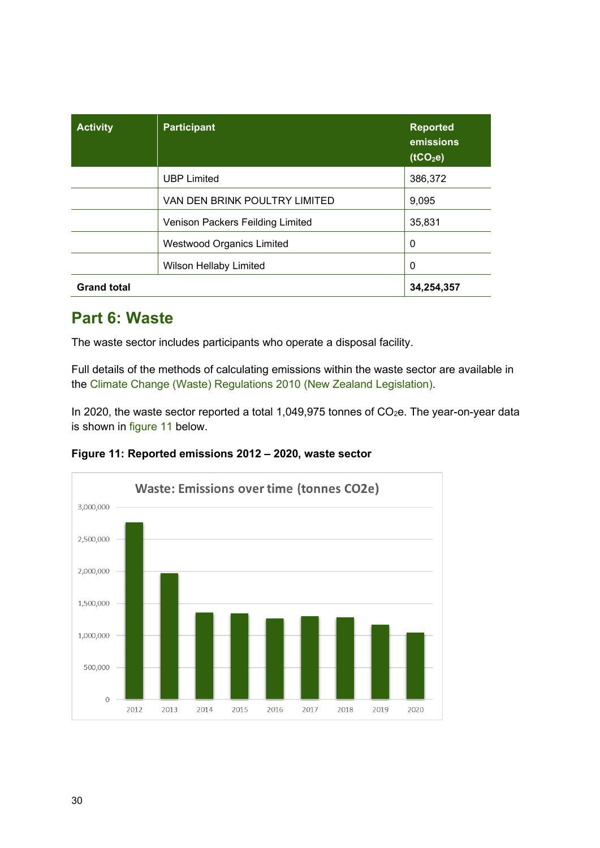| <b>Activity</b>    | <b>Participant</b>               | <b>Reported</b><br>emissions<br>(tCO <sub>2</sub> e) |
|--------------------|----------------------------------|------------------------------------------------------|
|                    | <b>UBP Limited</b>               | 386,372                                              |
|                    | VAN DEN BRINK POULTRY LIMITED    | 9,095                                                |
|                    | Venison Packers Feilding Limited | 35,831                                               |
|                    | <b>Westwood Organics Limited</b> | 0                                                    |
|                    | <b>Wilson Hellaby Limited</b>    | 0                                                    |
| <b>Grand total</b> |                                  | 34,254,357                                           |

## <span id="page-29-0"></span>**Part 6: Waste**

The waste sector includes participants who operate a disposal facility.

Full details of the methods of calculating emissions within the waste sector are available in the [Climate Change \(Waste\) Regulations 2010](https://www.legislation.govt.nz/regulation/public/2010/0338/latest/DLM3249508.html#DLM5833303) (New Zealand Legislation).

In 2020, the waste sector reported a total 1,049,975 tonnes of  $CO<sub>2</sub>e$ . The year-on-year data is shown in [figure 11](#page-29-1) below.

<span id="page-29-1"></span>

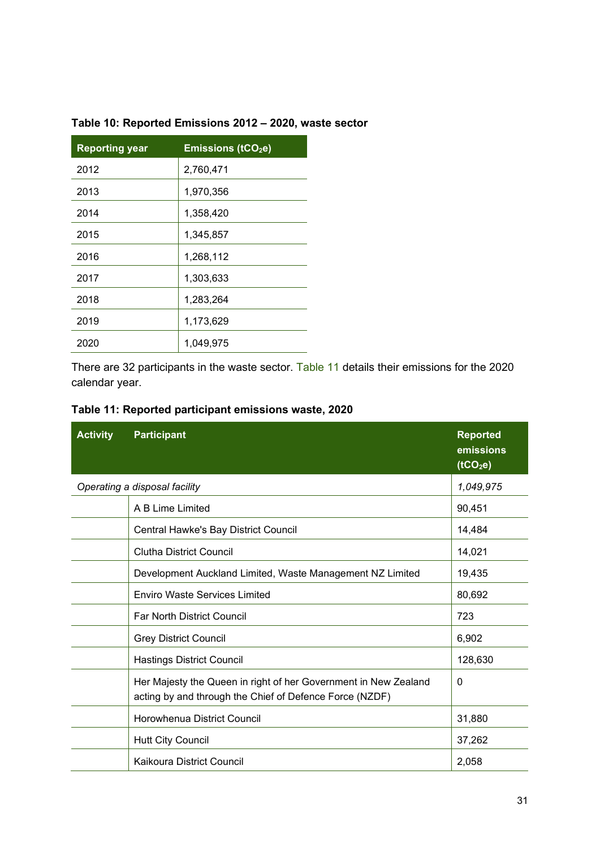| <b>Reporting year</b> | <b>Emissions (tCO<sub>2</sub>e)</b> |
|-----------------------|-------------------------------------|
| 2012                  | 2,760,471                           |
| 2013                  | 1,970,356                           |
| 2014                  | 1,358,420                           |
| 2015                  | 1,345,857                           |
| 2016                  | 1,268,112                           |
| 2017                  | 1,303,633                           |
| 2018                  | 1,283,264                           |
| 2019                  | 1,173,629                           |
| 2020                  | 1,049,975                           |

#### **Table 10: Reported Emissions 2012 – 2020, waste sector**

There are 32 participants in the waste sector. [Table 11](#page-30-0) details their emissions for the 2020 calendar year.

<span id="page-30-0"></span>

| <b>Activity</b> | <b>Participant</b>                                                                                                         | <b>Reported</b><br>emissions<br>(tCO <sub>2</sub> e) |
|-----------------|----------------------------------------------------------------------------------------------------------------------------|------------------------------------------------------|
|                 | Operating a disposal facility                                                                                              | 1,049,975                                            |
|                 | A B Lime Limited                                                                                                           | 90,451                                               |
|                 | Central Hawke's Bay District Council                                                                                       | 14,484                                               |
|                 | <b>Clutha District Council</b>                                                                                             | 14,021                                               |
|                 | Development Auckland Limited, Waste Management NZ Limited                                                                  | 19,435                                               |
|                 | <b>Enviro Waste Services Limited</b>                                                                                       | 80,692                                               |
|                 | <b>Far North District Council</b>                                                                                          | 723                                                  |
|                 | <b>Grey District Council</b>                                                                                               | 6,902                                                |
|                 | <b>Hastings District Council</b>                                                                                           | 128,630                                              |
|                 | Her Majesty the Queen in right of her Government in New Zealand<br>acting by and through the Chief of Defence Force (NZDF) | $\mathbf{0}$                                         |
|                 | Horowhenua District Council                                                                                                | 31,880                                               |
|                 | <b>Hutt City Council</b>                                                                                                   | 37,262                                               |
|                 | Kaikoura District Council                                                                                                  | 2,058                                                |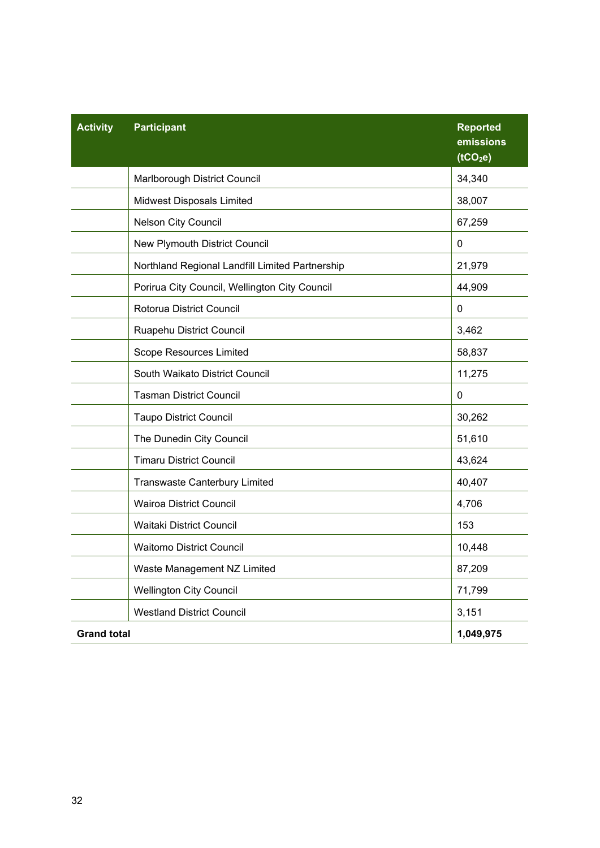| <b>Activity</b>    | <b>Participant</b>                              | <b>Reported</b><br>emissions<br>(tCO <sub>2</sub> e) |
|--------------------|-------------------------------------------------|------------------------------------------------------|
|                    | Marlborough District Council                    | 34,340                                               |
|                    | Midwest Disposals Limited                       | 38,007                                               |
|                    | Nelson City Council                             | 67,259                                               |
|                    | New Plymouth District Council                   | 0                                                    |
|                    | Northland Regional Landfill Limited Partnership | 21,979                                               |
|                    | Porirua City Council, Wellington City Council   | 44,909                                               |
|                    | Rotorua District Council                        | 0                                                    |
|                    | Ruapehu District Council                        | 3,462                                                |
|                    | Scope Resources Limited                         | 58,837                                               |
|                    | South Waikato District Council                  | 11,275                                               |
|                    | <b>Tasman District Council</b>                  | 0                                                    |
|                    | <b>Taupo District Council</b>                   | 30,262                                               |
|                    | The Dunedin City Council                        | 51,610                                               |
|                    | <b>Timaru District Council</b>                  | 43,624                                               |
|                    | <b>Transwaste Canterbury Limited</b>            | 40,407                                               |
|                    | <b>Wairoa District Council</b>                  | 4,706                                                |
|                    | Waitaki District Council                        | 153                                                  |
|                    | <b>Waitomo District Council</b>                 | 10,448                                               |
|                    | Waste Management NZ Limited                     | 87,209                                               |
|                    | <b>Wellington City Council</b>                  | 71,799                                               |
|                    | <b>Westland District Council</b>                | 3,151                                                |
| <b>Grand total</b> |                                                 | 1,049,975                                            |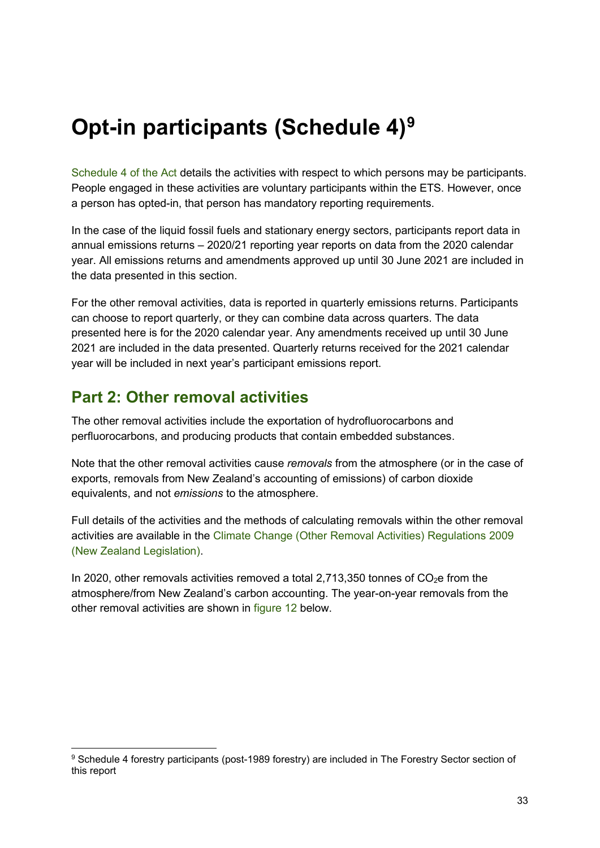## <span id="page-32-0"></span>**Opt-in participants (Schedule 4)[9](#page-32-2)**

[Schedule 4 of the A](https://www.legislation.govt.nz/act/public/2002/0040/latest/DLM1662864.html)ct details the activities with respect to which persons may be participants. People engaged in these activities are voluntary participants within the ETS. However, once a person has opted-in, that person has mandatory reporting requirements.

In the case of the liquid fossil fuels and stationary energy sectors, participants report data in annual emissions returns – 2020/21 reporting year reports on data from the 2020 calendar year. All emissions returns and amendments approved up until 30 June 2021 are included in the data presented in this section.

For the other removal activities, data is reported in quarterly emissions returns. Participants can choose to report quarterly, or they can combine data across quarters. The data presented here is for the 2020 calendar year. Any amendments received up until 30 June 2021 are included in the data presented. Quarterly returns received for the 2021 calendar year will be included in next year's participant emissions report.

### <span id="page-32-1"></span>**Part 2: Other removal activities**

The other removal activities include the exportation of hydrofluorocarbons and perfluorocarbons, and producing products that contain embedded substances.

Note that the other removal activities cause *removals* from the atmosphere (or in the case of exports, removals from New Zealand's accounting of emissions) of carbon dioxide equivalents, and not *emissions* to the atmosphere.

Full details of the activities and the methods of calculating removals within the other removal activities are available in the [Climate Change \(Other Removal Activities\) Regulations 2009](https://www.legislation.govt.nz/regulation/public/2009/0284/latest/DLM2381201.html) (New Zealand Legislation).

In 2020, other removals activities removed a total 2,713,350 tonnes of  $CO<sub>2</sub>e$  from the atmosphere/from New Zealand's carbon accounting. The year-on-year removals from the other removal activities are shown in [figure 12](#page-33-0) below.

<span id="page-32-2"></span><sup>9</sup> Schedule 4 forestry participants (post-1989 forestry) are included in [The Forestry Sector](#page-39-0) section of this report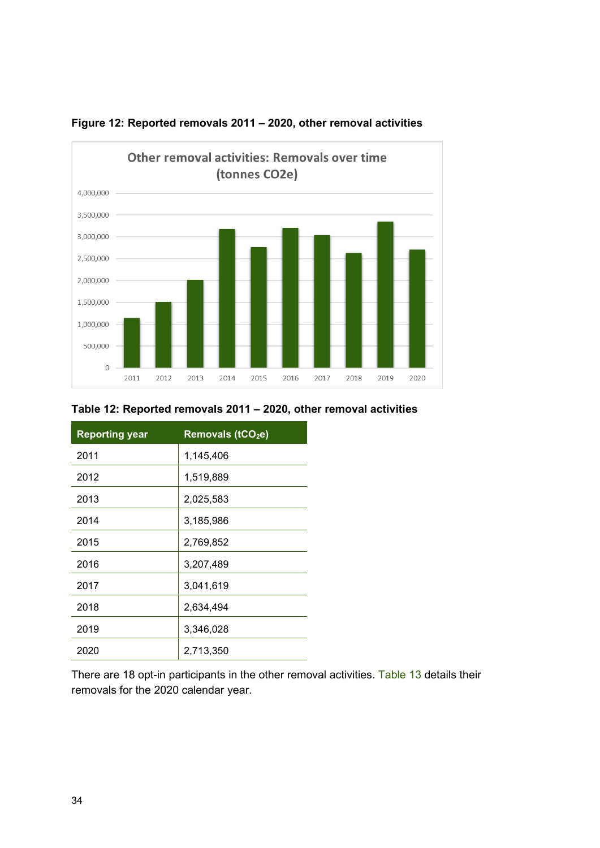

<span id="page-33-0"></span>

#### **Table 12: Reported removals 2011 – 2020, other removal activities**

| <b>Reporting year</b> | Removals (tCO <sub>2</sub> e) |
|-----------------------|-------------------------------|
| 2011                  | 1,145,406                     |
| 2012                  | 1,519,889                     |
| 2013                  | 2,025,583                     |
| 2014                  | 3,185,986                     |
| 2015                  | 2,769,852                     |
| 2016                  | 3,207,489                     |
| 2017                  | 3,041,619                     |
| 2018                  | 2,634,494                     |
| 2019                  | 3,346,028                     |
| 2020                  | 2,713,350                     |

<span id="page-33-1"></span>There are 18 opt-in participants in the other removal activities. [Table 13](#page-33-1) details their removals for the 2020 calendar year.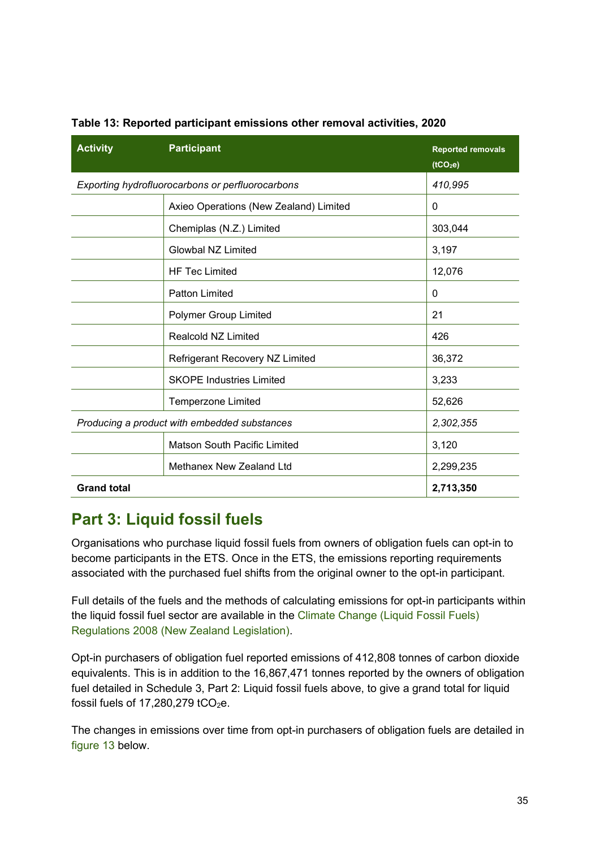| <b>Activity</b>                              | <b>Participant</b>                               | <b>Reported removals</b><br>(tCO <sub>2</sub> e) |
|----------------------------------------------|--------------------------------------------------|--------------------------------------------------|
|                                              | Exporting hydrofluorocarbons or perfluorocarbons | 410,995                                          |
|                                              | Axieo Operations (New Zealand) Limited           | $\mathbf{0}$                                     |
|                                              | Chemiplas (N.Z.) Limited                         | 303,044                                          |
|                                              | <b>Glowbal NZ Limited</b>                        | 3,197                                            |
|                                              | <b>HF Tec Limited</b>                            | 12,076                                           |
|                                              | <b>Patton Limited</b>                            | $\Omega$                                         |
|                                              | Polymer Group Limited                            | 21                                               |
|                                              | <b>Realcold NZ Limited</b>                       | 426                                              |
|                                              | Refrigerant Recovery NZ Limited                  | 36,372                                           |
|                                              | <b>SKOPE Industries Limited</b>                  | 3,233                                            |
|                                              | Temperzone Limited                               | 52,626                                           |
| Producing a product with embedded substances |                                                  | 2,302,355                                        |
|                                              | <b>Matson South Pacific Limited</b>              | 3,120                                            |
|                                              | Methanex New Zealand Ltd                         | 2,299,235                                        |
| <b>Grand total</b>                           |                                                  | 2,713,350                                        |

#### **Table 13: Reported participant emissions other removal activities, 2020**

### <span id="page-34-0"></span>**Part 3: Liquid fossil fuels**

Organisations who purchase liquid fossil fuels from owners of obligation fuels can opt-in to become participants in the ETS. Once in the ETS, the emissions reporting requirements associated with the purchased fuel shifts from the original owner to the opt-in participant.

Full details of the fuels and the methods of calculating emissions for opt-in participants within the liquid fossil fuel sector are available in the Climate Change (Liquid Fossil Fuels) [Regulations 2008](https://www.legislation.govt.nz/regulation/public/2008/0356/latest/whole.html#DLM1635632) (New Zealand Legislation).

Opt-in purchasers of obligation fuel reported emissions of 412,808 tonnes of carbon dioxide equivalents. This is in addition to the 16,867,471 tonnes reported by the owners of obligation fuel detailed in Schedule 3, [Part 2: Liquid fossil fuels](#page-15-1) above, to give a grand total for liquid fossil fuels of  $17.280.279$  tCO<sub>2</sub>e.

The changes in emissions over time from opt-in purchasers of obligation fuels are detailed in [figure 13](#page-35-0) below.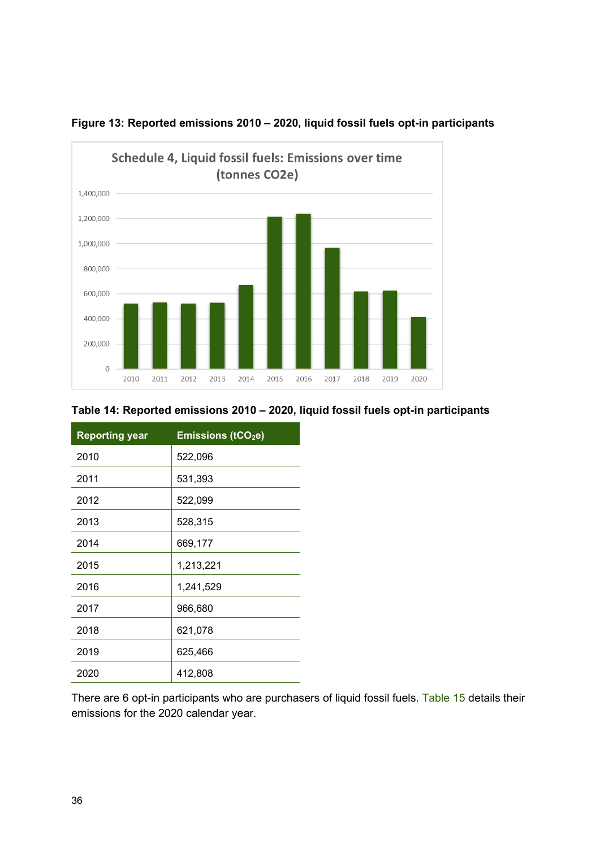

<span id="page-35-0"></span>

#### **Table 14: Reported emissions 2010 – 2020, liquid fossil fuels opt-in participants**

| <b>Reporting year</b> | <b>Emissions (tCO2e)</b> |
|-----------------------|--------------------------|
| 2010                  | 522,096                  |
| 2011                  | 531,393                  |
| 2012                  | 522,099                  |
| 2013                  | 528,315                  |
| 2014                  | 669,177                  |
| 2015                  | 1,213,221                |
| 2016                  | 1,241,529                |
| 2017                  | 966,680                  |
| 2018                  | 621,078                  |
| 2019                  | 625,466                  |
| 2020                  | 412,808                  |

There are 6 opt-in participants who are purchasers of liquid fossil fuels. [Table 15](#page-36-1) details their emissions for the 2020 calendar year.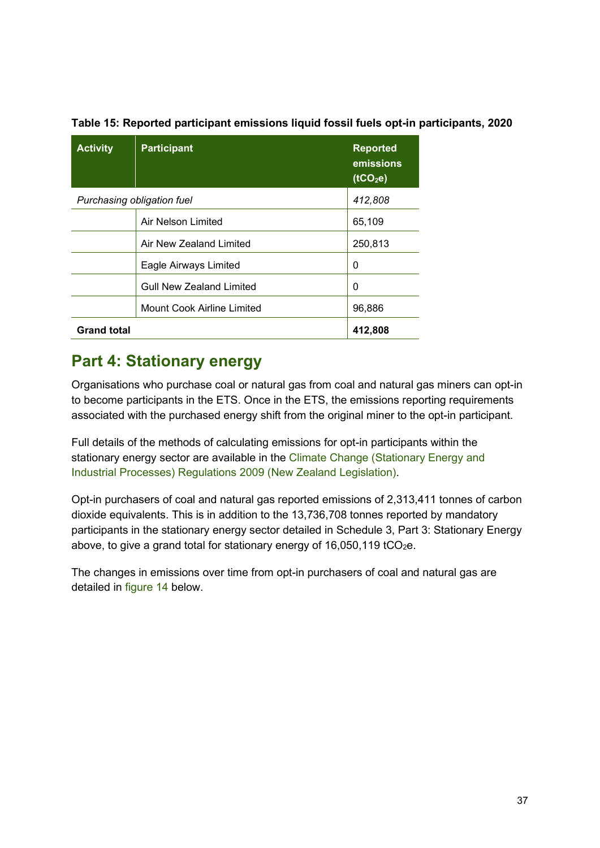| <b>Activity</b>    | <b>Participant</b>                | <b>Reported</b><br>emissions<br>(tCO <sub>2</sub> e) |
|--------------------|-----------------------------------|------------------------------------------------------|
|                    | Purchasing obligation fuel        | 412,808                                              |
|                    | Air Nelson Limited                | 65,109                                               |
|                    | Air New Zealand Limited           | 250,813                                              |
|                    | Eagle Airways Limited             | 0                                                    |
|                    | <b>Gull New Zealand Limited</b>   | 0                                                    |
|                    | <b>Mount Cook Airline Limited</b> | 96,886                                               |
| <b>Grand total</b> |                                   | 412,808                                              |

<span id="page-36-1"></span>**Table 15: Reported participant emissions liquid fossil fuels opt-in participants, 2020**

## <span id="page-36-0"></span>**Part 4: Stationary energy**

Organisations who purchase coal or natural gas from coal and natural gas miners can opt-in to become participants in the ETS. Once in the ETS, the emissions reporting requirements associated with the purchased energy shift from the original miner to the opt-in participant.

Full details of the methods of calculating emissions for opt-in participants within the stationary energy sector are available in the Climate Change (Stationary Energy and [Industrial Processes\) Regulations 2009](https://www.legislation.govt.nz/regulation/public/2009/0285/latest/DLM2394207.html) (New Zealand Legislation).

Opt-in purchasers of coal and natural gas reported emissions of 2,313,411 tonnes of carbon dioxide equivalents. This is in addition to the 13,736,708 tonnes reported by mandatory participants in the stationary energy sector detailed in Schedule 3, [Part 3: Stationary Energy](#page-17-0) above, to give a grand total for stationary energy of  $16,050,119$  tCO<sub>2</sub>e.

<span id="page-36-2"></span>The changes in emissions over time from opt-in purchasers of coal and natural gas are detailed in [figure 14](#page-36-2) below.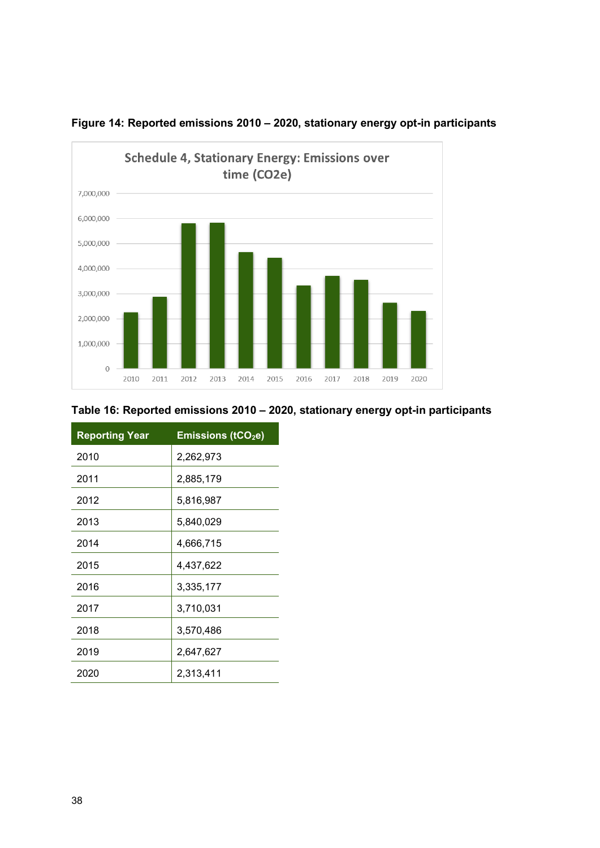



#### **Table 16: Reported emissions 2010 – 2020, stationary energy opt-in participants**

| <b>Reporting Year</b> | <b>Emissions (tCO2e)</b> |
|-----------------------|--------------------------|
| 2010                  | 2,262,973                |
| 2011                  | 2,885,179                |
| 2012                  | 5,816,987                |
| 2013                  | 5,840,029                |
| 2014                  | 4,666,715                |
| 2015                  | 4,437,622                |
| 2016                  | 3,335,177                |
| 2017                  | 3,710,031                |
| 2018                  | 3,570,486                |
| 2019                  | 2,647,627                |
| 2020                  | 2,313,411                |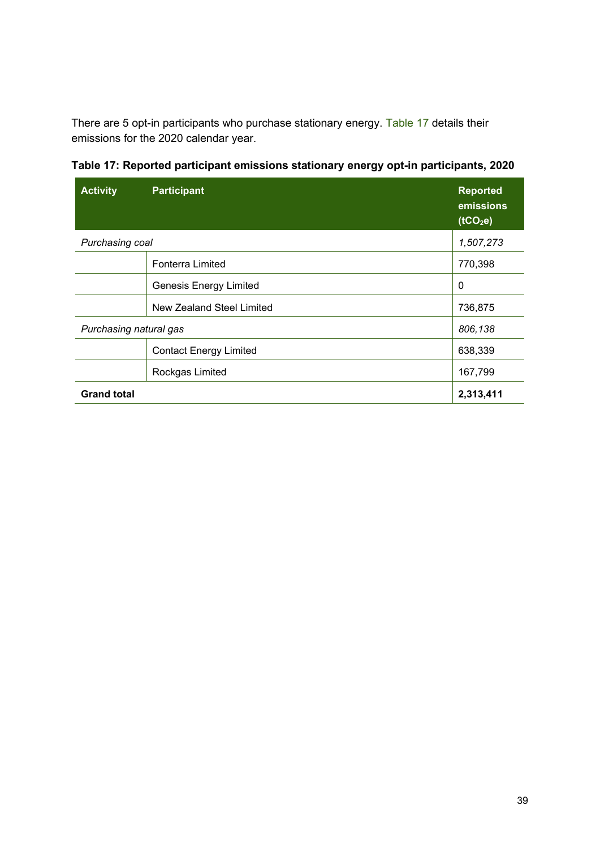There are 5 opt-in participants who purchase stationary energy. [Table 17](#page-38-0) details their emissions for the 2020 calendar year.

| <b>Activity</b>        | <b>Participant</b>            | <b>Reported</b><br>emissions<br>(tCO <sub>2</sub> e) |
|------------------------|-------------------------------|------------------------------------------------------|
| <b>Purchasing coal</b> |                               | 1,507,273                                            |
|                        | <b>Fonterra Limited</b>       | 770,398                                              |
|                        | <b>Genesis Energy Limited</b> | 0                                                    |
|                        | New Zealand Steel Limited     | 736,875                                              |
| Purchasing natural gas |                               | 806,138                                              |
|                        | <b>Contact Energy Limited</b> | 638,339                                              |
|                        | Rockgas Limited               | 167,799                                              |
| <b>Grand total</b>     |                               | 2,313,411                                            |

<span id="page-38-0"></span>**Table 17: Reported participant emissions stationary energy opt-in participants, 2020**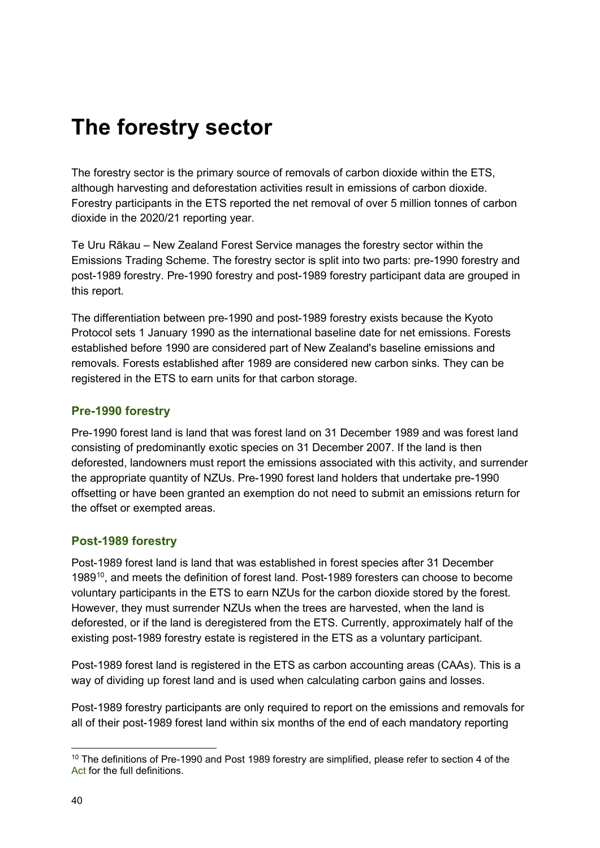## <span id="page-39-0"></span>**The forestry sector**

The forestry sector is the primary source of removals of carbon dioxide within the ETS, although harvesting and deforestation activities result in emissions of carbon dioxide. Forestry participants in the ETS reported the net removal of over 5 million tonnes of carbon dioxide in the 2020/21 reporting year.

Te Uru Rākau – New Zealand Forest Service manages the forestry sector within the Emissions Trading Scheme. The forestry sector is split into two parts: pre-1990 forestry and post-1989 forestry. Pre-1990 forestry and post-1989 forestry participant data are grouped in this report.

The differentiation between pre-1990 and post-1989 forestry exists because the Kyoto Protocol sets 1 January 1990 as the international baseline date for net emissions. Forests established before 1990 are considered part of New Zealand's baseline emissions and removals. Forests established after 1989 are considered new carbon sinks. They can be registered in the ETS to earn units for that carbon storage.

#### <span id="page-39-1"></span>**Pre-1990 forestry**

Pre-1990 forest land is land that was forest land on 31 December 1989 and was forest land consisting of predominantly exotic species on 31 December 2007. If the land is then deforested, landowners must report the emissions associated with this activity, and surrender the appropriate quantity of NZUs. Pre-1990 forest land holders that undertake pre-1990 offsetting or have been granted an exemption do not need to submit an emissions return for the offset or exempted areas.

#### <span id="page-39-2"></span>**Post-1989 forestry**

Post-1989 forest land is land that was established in forest species after 31 December 1989<sup>10</sup>, and meets the definition of forest land. Post-1989 foresters can choose to become voluntary participants in the ETS to earn NZUs for the carbon dioxide stored by the forest. However, they must surrender NZUs when the trees are harvested, when the land is deforested, or if the land is deregistered from the ETS. Currently, approximately half of the existing post-1989 forestry estate is registered in the ETS as a voluntary participant.

Post-1989 forest land is registered in the ETS as carbon accounting areas (CAAs). This is a way of dividing up forest land and is used when calculating carbon gains and losses.

Post-1989 forestry participants are only required to report on the emissions and removals for all of their post-1989 forest land within six months of the end of each mandatory reporting

<span id="page-39-3"></span><sup>&</sup>lt;sup>10</sup>The definitions of Pre-1990 and Post 1989 forestry are simplified, please refer to section 4 of the [Act f](https://www.legislation.govt.nz/act/public/2002/0040/latest/DLM158584.html?search=qs_act%40bill%40regulation%40deemedreg_climate+change+response+act_resel_25_h&p=1&sr=1)or the full definitions.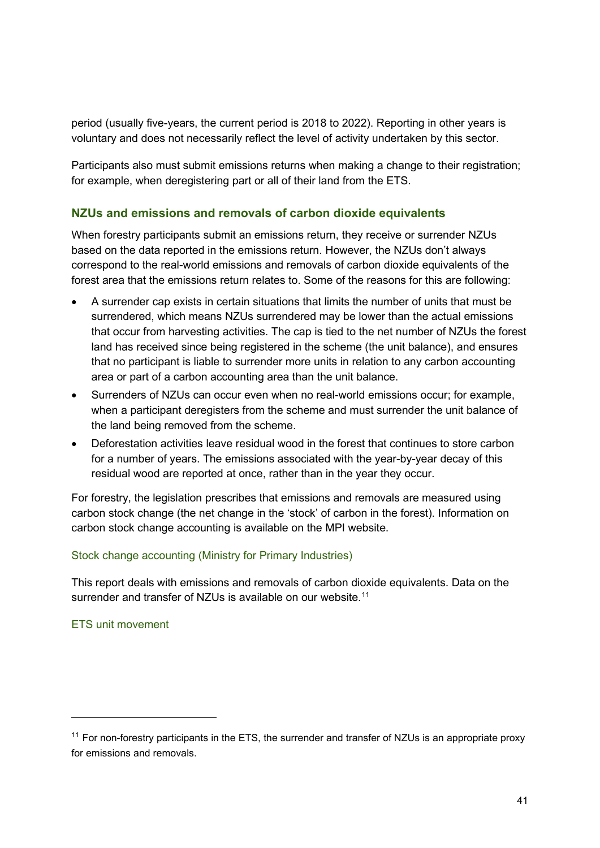period (usually five-years, the current period is 2018 to 2022). Reporting in other years is voluntary and does not necessarily reflect the level of activity undertaken by this sector.

Participants also must submit emissions returns when making a change to their registration; for example, when deregistering part or all of their land from the ETS.

#### <span id="page-40-0"></span>**NZUs and emissions and removals of carbon dioxide equivalents**

When forestry participants submit an emissions return, they receive or surrender NZUs based on the data reported in the emissions return. However, the NZUs don't always correspond to the real-world emissions and removals of carbon dioxide equivalents of the forest area that the emissions return relates to. Some of the reasons for this are following:

- A surrender cap exists in certain situations that limits the number of units that must be surrendered, which means NZUs surrendered may be lower than the actual emissions that occur from harvesting activities. The cap is tied to the net number of NZUs the forest land has received since being registered in the scheme (the unit balance), and ensures that no participant is liable to surrender more units in relation to any carbon accounting area or part of a carbon accounting area than the unit balance.
- Surrenders of NZUs can occur even when no real-world emissions occur; for example, when a participant deregisters from the scheme and must surrender the unit balance of the land being removed from the scheme.
- Deforestation activities leave residual wood in the forest that continues to store carbon for a number of years. The emissions associated with the year-by-year decay of this residual wood are reported at once, rather than in the year they occur.

For forestry, the legislation prescribes that emissions and removals are measured using carbon stock change (the net change in the 'stock' of carbon in the forest). Information on carbon stock change accounting is available on the MPI website.

#### [Stock change accounting \(Ministry for Primary Industries\)](https://www.mpi.govt.nz/forestry/forestry-in-the-emissions-trading-scheme/stock-change-accounting/)

This report deals with emissions and removals of carbon dioxide equivalents. Data on the surrender and transfer of NZUs is available on our website.<sup>[11](#page-40-1)</sup>

#### [ETS unit movement](https://www.epa.govt.nz/industry-areas/emissions-trading-scheme/ets-reports/unit-movement/)

<span id="page-40-1"></span> $11$  For non-forestry participants in the ETS, the surrender and transfer of NZUs is an appropriate proxy for emissions and removals.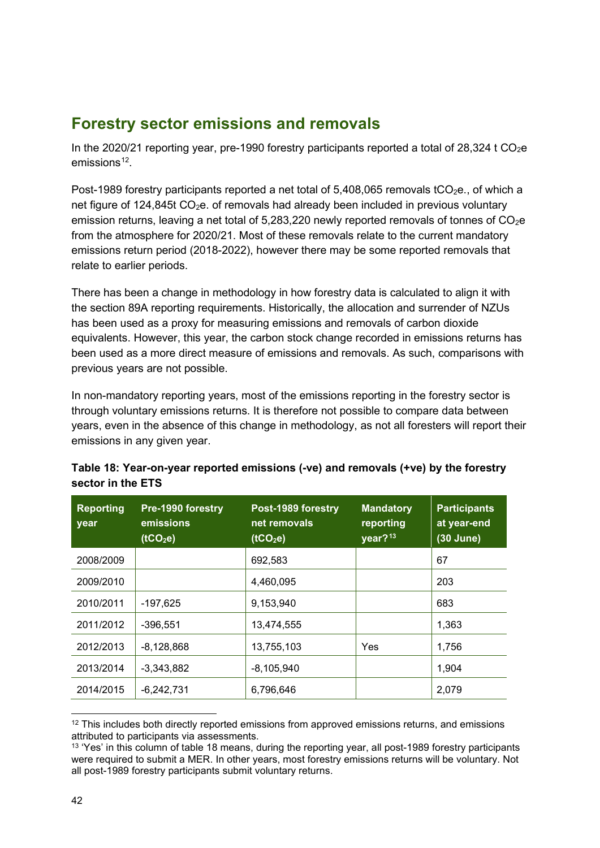## <span id="page-41-0"></span>**Forestry sector emissions and removals**

In the 2020/21 reporting year, pre-1990 forestry participants reported a total of 28,324 t  $CO<sub>2</sub>e$  $emissions<sup>12</sup>$  $emissions<sup>12</sup>$  $emissions<sup>12</sup>$ .

Post-1989 forestry participants reported a net total of  $5,408,065$  removals tCO<sub>2</sub>e., of which a net figure of 124,845t  $CO<sub>2</sub>e$ . of removals had already been included in previous voluntary emission returns, leaving a net total of 5,283,220 newly reported removals of tonnes of  $CO<sub>2</sub>e$ from the atmosphere for 2020/21. Most of these removals relate to the current mandatory emissions return period (2018-2022), however there may be some reported removals that relate to earlier periods.

There has been a change in methodology in how forestry data is calculated to align it with the section 89A reporting requirements. Historically, the allocation and surrender of NZUs has been used as a proxy for measuring emissions and removals of carbon dioxide equivalents. However, this year, the carbon stock change recorded in emissions returns has been used as a more direct measure of emissions and removals. As such, comparisons with previous years are not possible.

In non-mandatory reporting years, most of the emissions reporting in the forestry sector is through voluntary emissions returns. It is therefore not possible to compare data between years, even in the absence of this change in methodology, as not all foresters will report their emissions in any given year.

| <b>Reporting</b><br>year | Pre-1990 forestry<br>emissions<br>(1CO <sub>2</sub> e) | Post-1989 forestry<br>net removals<br>(1CO <sub>2</sub> e) | <b>Mandatory</b><br>reporting<br>year? <sup>13</sup> | <b>Participants</b><br>at year-end<br>(30 June) |
|--------------------------|--------------------------------------------------------|------------------------------------------------------------|------------------------------------------------------|-------------------------------------------------|
| 2008/2009                |                                                        | 692,583                                                    |                                                      | 67                                              |
| 2009/2010                |                                                        | 4,460,095                                                  |                                                      | 203                                             |
| 2010/2011                | $-197,625$                                             | 9,153,940                                                  |                                                      | 683                                             |
| 2011/2012                | $-396,551$                                             | 13,474,555                                                 |                                                      | 1,363                                           |
| 2012/2013                | $-8,128,868$                                           | 13,755,103                                                 | Yes                                                  | 1,756                                           |
| 2013/2014                | $-3.343.882$                                           | $-8,105,940$                                               |                                                      | 1,904                                           |
| 2014/2015                | $-6,242,731$                                           | 6,796,646                                                  |                                                      | 2,079                                           |

#### <span id="page-41-3"></span>**Table 18: Year-on-year reported emissions (-ve) and removals (+ve) by the forestry sector in the ETS**

<span id="page-41-1"></span><sup>&</sup>lt;sup>12</sup> This includes both directly reported emissions from approved emissions returns, and emissions attributed to participants via assessments.

<span id="page-41-2"></span><sup>&</sup>lt;sup>13</sup> 'Yes' in this column of table 18 means, during the reporting year, all post-1989 forestry participants were required to submit a MER. In other years, most forestry emissions returns will be voluntary. Not all post-1989 forestry participants submit voluntary returns.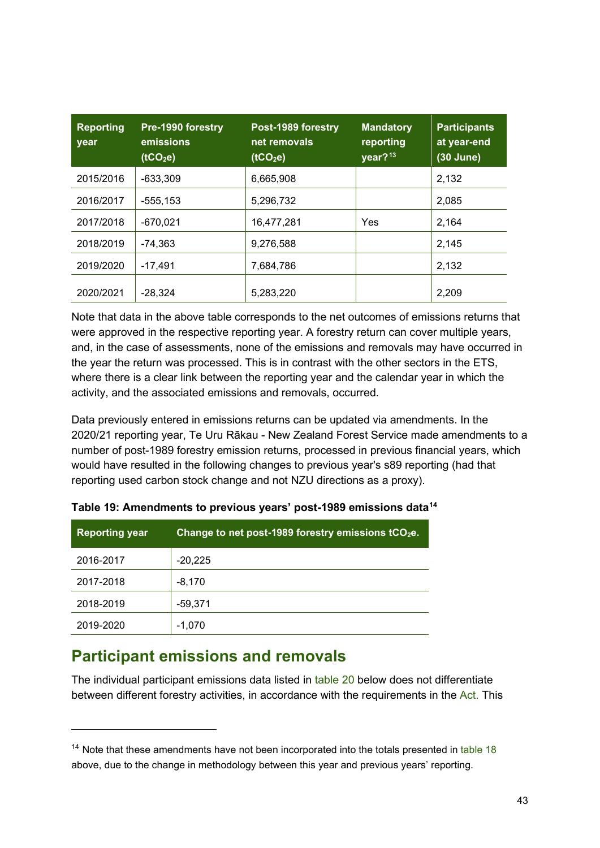| <b>Reporting</b><br>year | Pre-1990 forestry<br>emissions<br>(tCO <sub>2</sub> e) | Post-1989 forestry<br>net removals<br>(tCO <sub>2</sub> e) | <b>Mandatory</b><br>reporting<br>year? <sup>13</sup> | <b>Participants</b><br>at year-end<br>$(30$ June) |
|--------------------------|--------------------------------------------------------|------------------------------------------------------------|------------------------------------------------------|---------------------------------------------------|
| 2015/2016                | $-633.309$                                             | 6,665,908                                                  |                                                      | 2,132                                             |
| 2016/2017                | $-555, 153$                                            | 5,296,732                                                  |                                                      | 2,085                                             |
| 2017/2018                | $-670.021$                                             | 16,477,281                                                 | Yes                                                  | 2.164                                             |
| 2018/2019                | -74.363                                                | 9,276,588                                                  |                                                      | 2,145                                             |
| 2019/2020                | $-17.491$                                              | 7,684,786                                                  |                                                      | 2,132                                             |
| 2020/2021                | $-28,324$                                              | 5,283,220                                                  |                                                      | 2,209                                             |

Note that data in the above table corresponds to the net outcomes of emissions returns that were approved in the respective reporting year. A forestry return can cover multiple years, and, in the case of assessments, none of the emissions and removals may have occurred in the year the return was processed. This is in contrast with the other sectors in the ETS, where there is a clear link between the reporting year and the calendar year in which the activity, and the associated emissions and removals, occurred.

Data previously entered in emissions returns can be updated via amendments. In the 2020/21 reporting year, Te Uru Rākau - New Zealand Forest Service made amendments to a number of post-1989 forestry emission returns, processed in previous financial years, which would have resulted in the following changes to previous year's s89 reporting (had that reporting used carbon stock change and not NZU directions as a proxy).

| <b>Reporting year</b> | Change to net post-1989 forestry emissions $tCO2e$ . |
|-----------------------|------------------------------------------------------|
| 2016-2017             | $-20,225$                                            |
| 2017-2018             | $-8,170$                                             |
| 2018-2019             | $-59,371$                                            |
| 2019-2020             | $-1.070$                                             |

**Table 19: Amendments to previous years' post-1989 emissions data[14](#page-42-1)**

## <span id="page-42-0"></span>**Participant emissions and removals**

The individual participant emissions data listed in [table 20](#page-44-0) below does not differentiate between different forestry activities, in accordance with the requirements in the [Act.](https://www.legislation.govt.nz/act/public/2002/0040/latest/LMS368127.html) This

<span id="page-42-1"></span> $14$  Note that these amendments have not been incorporated into the totals presented in [table 18](#page-41-3) above, due to the change in methodology between this year and previous years' reporting.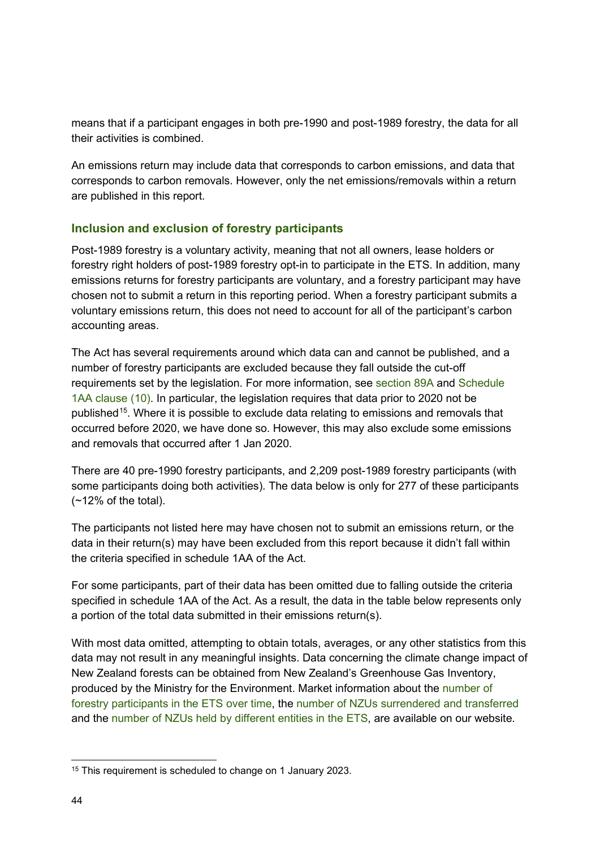means that if a participant engages in both pre-1990 and post-1989 forestry, the data for all their activities is combined.

An emissions return may include data that corresponds to carbon emissions, and data that corresponds to carbon removals. However, only the net emissions/removals within a return are published in this report.

#### <span id="page-43-0"></span>**Inclusion and exclusion of forestry participants**

Post-1989 forestry is a voluntary activity, meaning that not all owners, lease holders or forestry right holders of post-1989 forestry opt-in to participate in the ETS. In addition, many emissions returns for forestry participants are voluntary, and a forestry participant may have chosen not to submit a return in this reporting period. When a forestry participant submits a voluntary emissions return, this does not need to account for all of the participant's carbon accounting areas.

The Act has several requirements around which data can and cannot be published, and a number of forestry participants are excluded because they fall outside the cut-off requirements set by the legislation. For more information, see [section 89A](https://www.legislation.govt.nz/act/public/2002/0040/latest/LMS368127.html) and [Schedule](https://www.legislation.govt.nz/act/public/2002/0040/latest/LMS282075.html)  [1AA clause \(10\).](https://www.legislation.govt.nz/act/public/2002/0040/latest/LMS282075.html) In particular, the legislation requires that data prior to 2020 not be published<sup>[15](#page-43-1)</sup>. Where it is possible to exclude data relating to emissions and removals that occurred before 2020, we have done so. However, this may also exclude some emissions and removals that occurred after 1 Jan 2020.

There are 40 pre-1990 forestry participants, and 2,209 post-1989 forestry participants (with some participants doing both activities). The data below is only for 277 of these participants  $(-12%$  of the total).

The participants not listed here may have chosen not to submit an emissions return, or the data in their return(s) may have been excluded from this report because it didn't fall within the criteria specified in schedule 1AA of the Act.

For some participants, part of their data has been omitted due to falling outside the criteria specified in schedule 1AA of the Act. As a result, the data in the table below represents only a portion of the total data submitted in their emissions return(s).

With most data omitted, attempting to obtain totals, averages, or any other statistics from this data may not result in any meaningful insights. Data concerning the climate change impact of New Zealand forests can be obtained from New Zealand's Greenhouse Gas Inventory, produced by the Ministry for the Environment. Market information about the [number of](https://www.epa.govt.nz/industry-areas/emissions-trading-scheme/ets-reports/participants/)  [forestry participants in the ETS over time,](https://www.epa.govt.nz/industry-areas/emissions-trading-scheme/ets-reports/participants/) the [number of NZUs surrendered and transferred](https://www.epa.govt.nz/industry-areas/emissions-trading-scheme/ets-reports/unit-movement/) and the [number of NZUs held by different entities](https://www.epa.govt.nz/industry-areas/emissions-trading-scheme/market-information/privately-held-units/) in the ETS, are available on our website.

<span id="page-43-1"></span><sup>&</sup>lt;sup>15</sup> This requirement is scheduled to change on 1 January 2023.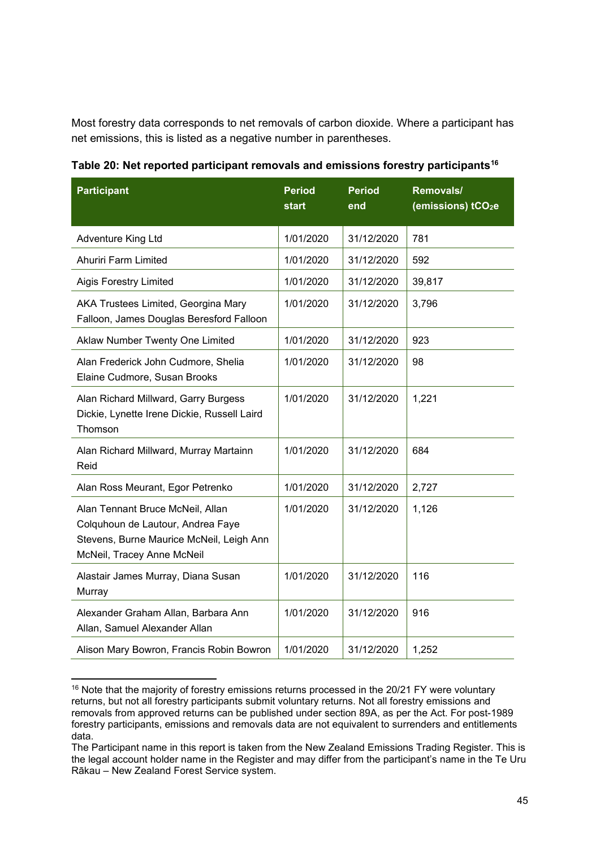Most forestry data corresponds to net removals of carbon dioxide. Where a participant has net emissions, this is listed as a negative number in parentheses.

| <b>Participant</b>                                                                                                                              | <b>Period</b><br>start | <b>Period</b><br>end | Removals/<br>(emissions) tCO <sub>2</sub> e |
|-------------------------------------------------------------------------------------------------------------------------------------------------|------------------------|----------------------|---------------------------------------------|
| <b>Adventure King Ltd</b>                                                                                                                       | 1/01/2020              | 31/12/2020           | 781                                         |
| <b>Ahuriri Farm Limited</b>                                                                                                                     | 1/01/2020              | 31/12/2020           | 592                                         |
| <b>Aigis Forestry Limited</b>                                                                                                                   | 1/01/2020              | 31/12/2020           | 39,817                                      |
| AKA Trustees Limited, Georgina Mary<br>Falloon, James Douglas Beresford Falloon                                                                 | 1/01/2020              | 31/12/2020           | 3,796                                       |
| Aklaw Number Twenty One Limited                                                                                                                 | 1/01/2020              | 31/12/2020           | 923                                         |
| Alan Frederick John Cudmore, Shelia<br>Elaine Cudmore, Susan Brooks                                                                             | 1/01/2020              | 31/12/2020           | 98                                          |
| Alan Richard Millward, Garry Burgess<br>Dickie, Lynette Irene Dickie, Russell Laird<br>Thomson                                                  | 1/01/2020              | 31/12/2020           | 1,221                                       |
| Alan Richard Millward, Murray Martainn<br>Reid                                                                                                  | 1/01/2020              | 31/12/2020           | 684                                         |
| Alan Ross Meurant, Egor Petrenko                                                                                                                | 1/01/2020              | 31/12/2020           | 2,727                                       |
| Alan Tennant Bruce McNeil, Allan<br>Colquhoun de Lautour, Andrea Faye<br>Stevens, Burne Maurice McNeil, Leigh Ann<br>McNeil, Tracey Anne McNeil | 1/01/2020              | 31/12/2020           | 1,126                                       |
| Alastair James Murray, Diana Susan<br>Murray                                                                                                    | 1/01/2020              | 31/12/2020           | 116                                         |
| Alexander Graham Allan, Barbara Ann<br>Allan, Samuel Alexander Allan                                                                            | 1/01/2020              | 31/12/2020           | 916                                         |
| Alison Mary Bowron, Francis Robin Bowron                                                                                                        | 1/01/2020              | 31/12/2020           | 1,252                                       |

<span id="page-44-0"></span>**Table 20: Net reported participant removals and emissions forestry participants[16](#page-44-1)**

<span id="page-44-1"></span><sup>&</sup>lt;sup>16</sup> Note that the majority of forestry emissions returns processed in the 20/21 FY were voluntary returns, but not all forestry participants submit voluntary returns. Not all forestry emissions and removals from approved returns can be published under section 89A, as per the Act. For post-1989 forestry participants, emissions and removals data are not equivalent to surrenders and entitlements data.

The Participant name in this report is taken from the New Zealand Emissions Trading Register. This is the legal account holder name in the Register and may differ from the participant's name in the Te Uru Rākau – New Zealand Forest Service system.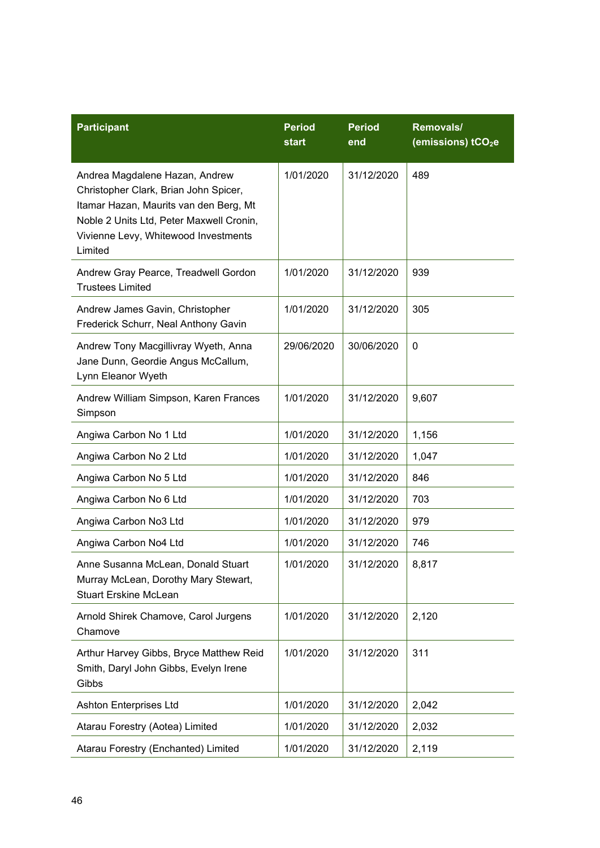| <b>Participant</b>                                                                                                                                                                                               | <b>Period</b><br>start | <b>Period</b><br>end | Removals/<br>(emissions) tCO <sub>2</sub> e |
|------------------------------------------------------------------------------------------------------------------------------------------------------------------------------------------------------------------|------------------------|----------------------|---------------------------------------------|
| Andrea Magdalene Hazan, Andrew<br>Christopher Clark, Brian John Spicer,<br>Itamar Hazan, Maurits van den Berg, Mt<br>Noble 2 Units Ltd, Peter Maxwell Cronin,<br>Vivienne Levy, Whitewood Investments<br>Limited | 1/01/2020              | 31/12/2020           | 489                                         |
| Andrew Gray Pearce, Treadwell Gordon<br><b>Trustees Limited</b>                                                                                                                                                  | 1/01/2020              | 31/12/2020           | 939                                         |
| Andrew James Gavin, Christopher<br>Frederick Schurr, Neal Anthony Gavin                                                                                                                                          | 1/01/2020              | 31/12/2020           | 305                                         |
| Andrew Tony Macgillivray Wyeth, Anna<br>Jane Dunn, Geordie Angus McCallum,<br>Lynn Eleanor Wyeth                                                                                                                 | 29/06/2020             | 30/06/2020           | 0                                           |
| Andrew William Simpson, Karen Frances<br>Simpson                                                                                                                                                                 | 1/01/2020              | 31/12/2020           | 9,607                                       |
| Angiwa Carbon No 1 Ltd                                                                                                                                                                                           | 1/01/2020              | 31/12/2020           | 1,156                                       |
| Angiwa Carbon No 2 Ltd                                                                                                                                                                                           | 1/01/2020              | 31/12/2020           | 1,047                                       |
| Angiwa Carbon No 5 Ltd                                                                                                                                                                                           | 1/01/2020              | 31/12/2020           | 846                                         |
| Angiwa Carbon No 6 Ltd                                                                                                                                                                                           | 1/01/2020              | 31/12/2020           | 703                                         |
| Angiwa Carbon No3 Ltd                                                                                                                                                                                            | 1/01/2020              | 31/12/2020           | 979                                         |
| Angiwa Carbon No4 Ltd                                                                                                                                                                                            | 1/01/2020              | 31/12/2020           | 746                                         |
| Anne Susanna McLean, Donald Stuart<br>Murray McLean, Dorothy Mary Stewart,<br><b>Stuart Erskine McLean</b>                                                                                                       | 1/01/2020              | 31/12/2020           | 8,817                                       |
| Arnold Shirek Chamove, Carol Jurgens<br>Chamove                                                                                                                                                                  | 1/01/2020              | 31/12/2020           | 2,120                                       |
| Arthur Harvey Gibbs, Bryce Matthew Reid<br>Smith, Daryl John Gibbs, Evelyn Irene<br>Gibbs                                                                                                                        | 1/01/2020              | 31/12/2020           | 311                                         |
| Ashton Enterprises Ltd                                                                                                                                                                                           | 1/01/2020              | 31/12/2020           | 2,042                                       |
| Atarau Forestry (Aotea) Limited                                                                                                                                                                                  | 1/01/2020              | 31/12/2020           | 2,032                                       |
| Atarau Forestry (Enchanted) Limited                                                                                                                                                                              | 1/01/2020              | 31/12/2020           | 2,119                                       |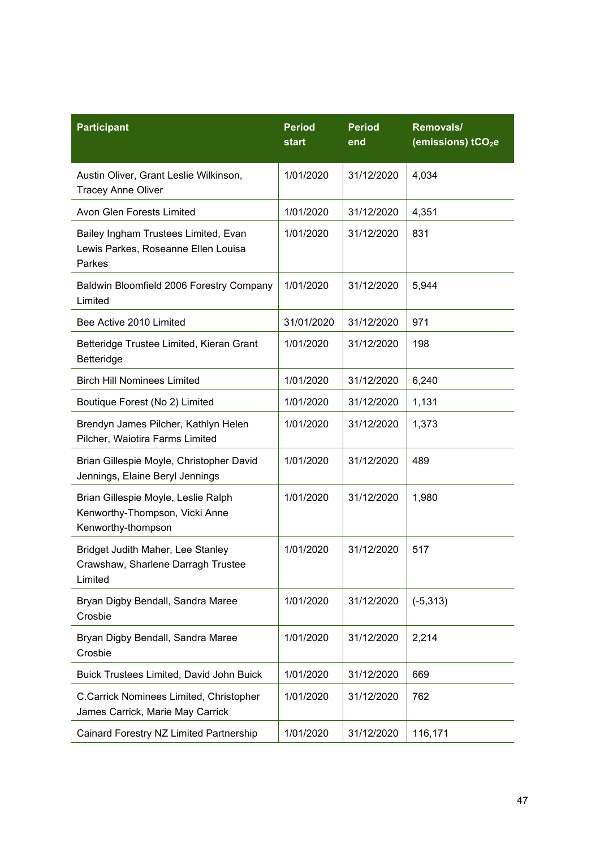| <b>Participant</b>                                                                          | <b>Period</b><br>start | <b>Period</b><br>end | Removals/<br>(emissions) tCO <sub>2</sub> e |
|---------------------------------------------------------------------------------------------|------------------------|----------------------|---------------------------------------------|
| Austin Oliver, Grant Leslie Wilkinson,<br><b>Tracey Anne Oliver</b>                         | 1/01/2020              | 31/12/2020           | 4,034                                       |
| Avon Glen Forests Limited                                                                   | 1/01/2020              | 31/12/2020           | 4,351                                       |
| Bailey Ingham Trustees Limited, Evan<br>Lewis Parkes, Roseanne Ellen Louisa<br>Parkes       | 1/01/2020              | 31/12/2020           | 831                                         |
| Baldwin Bloomfield 2006 Forestry Company<br>Limited                                         | 1/01/2020              | 31/12/2020           | 5,944                                       |
| Bee Active 2010 Limited                                                                     | 31/01/2020             | 31/12/2020           | 971                                         |
| Betteridge Trustee Limited, Kieran Grant<br>Betteridge                                      | 1/01/2020              | 31/12/2020           | 198                                         |
| <b>Birch Hill Nominees Limited</b>                                                          | 1/01/2020              | 31/12/2020           | 6,240                                       |
| Boutique Forest (No 2) Limited                                                              | 1/01/2020              | 31/12/2020           | 1,131                                       |
| Brendyn James Pilcher, Kathlyn Helen<br>Pilcher, Waiotira Farms Limited                     | 1/01/2020              | 31/12/2020           | 1,373                                       |
| Brian Gillespie Moyle, Christopher David<br>Jennings, Elaine Beryl Jennings                 | 1/01/2020              | 31/12/2020           | 489                                         |
| Brian Gillespie Moyle, Leslie Ralph<br>Kenworthy-Thompson, Vicki Anne<br>Kenworthy-thompson | 1/01/2020              | 31/12/2020           | 1,980                                       |
| Bridget Judith Maher, Lee Stanley<br>Crawshaw, Sharlene Darragh Trustee<br>Limited          | 1/01/2020              | 31/12/2020           | 517                                         |
| Bryan Digby Bendall, Sandra Maree<br>Crosbie                                                | 1/01/2020              | 31/12/2020           | $(-5, 313)$                                 |
| Bryan Digby Bendall, Sandra Maree<br>Crosbie                                                | 1/01/2020              | 31/12/2020           | 2,214                                       |
| <b>Buick Trustees Limited, David John Buick</b>                                             | 1/01/2020              | 31/12/2020           | 669                                         |
| C.Carrick Nominees Limited, Christopher<br>James Carrick, Marie May Carrick                 | 1/01/2020              | 31/12/2020           | 762                                         |
| Cainard Forestry NZ Limited Partnership                                                     | 1/01/2020              | 31/12/2020           | 116,171                                     |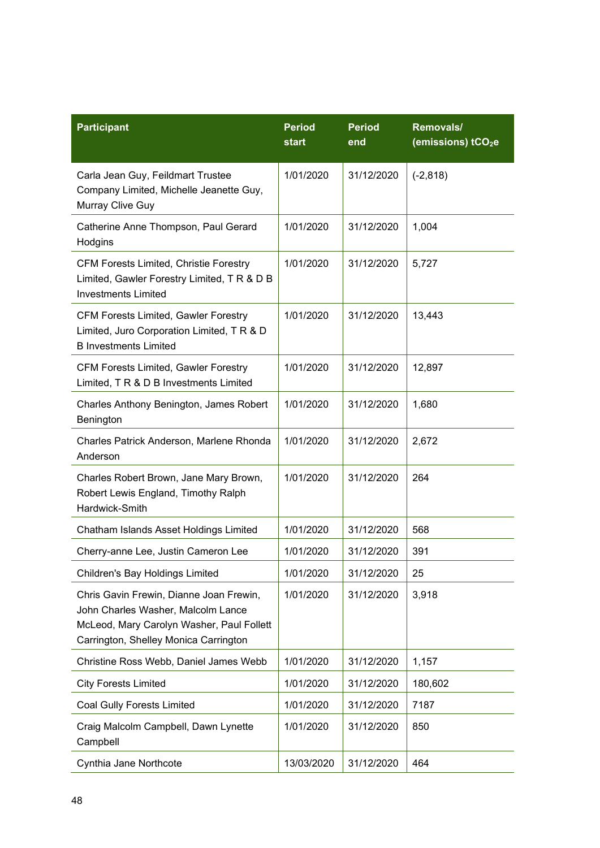| <b>Participant</b>                                                                                                                                                  | <b>Period</b><br><b>start</b> | <b>Period</b><br>end | Removals/<br>(emissions) tCO <sub>2</sub> e |
|---------------------------------------------------------------------------------------------------------------------------------------------------------------------|-------------------------------|----------------------|---------------------------------------------|
| Carla Jean Guy, Feildmart Trustee<br>Company Limited, Michelle Jeanette Guy,<br>Murray Clive Guy                                                                    | 1/01/2020                     | 31/12/2020           | $(-2, 818)$                                 |
| Catherine Anne Thompson, Paul Gerard<br>Hodgins                                                                                                                     | 1/01/2020                     | 31/12/2020           | 1,004                                       |
| <b>CFM Forests Limited, Christie Forestry</b><br>Limited, Gawler Forestry Limited, T R & D B<br><b>Investments Limited</b>                                          | 1/01/2020                     | 31/12/2020           | 5,727                                       |
| <b>CFM Forests Limited, Gawler Forestry</b><br>Limited, Juro Corporation Limited, T R & D<br><b>B</b> Investments Limited                                           | 1/01/2020                     | 31/12/2020           | 13,443                                      |
| <b>CFM Forests Limited, Gawler Forestry</b><br>Limited, T R & D B Investments Limited                                                                               | 1/01/2020                     | 31/12/2020           | 12,897                                      |
| Charles Anthony Benington, James Robert<br>Benington                                                                                                                | 1/01/2020                     | 31/12/2020           | 1,680                                       |
| Charles Patrick Anderson, Marlene Rhonda<br>Anderson                                                                                                                | 1/01/2020                     | 31/12/2020           | 2,672                                       |
| Charles Robert Brown, Jane Mary Brown,<br>Robert Lewis England, Timothy Ralph<br>Hardwick-Smith                                                                     | 1/01/2020                     | 31/12/2020           | 264                                         |
| Chatham Islands Asset Holdings Limited                                                                                                                              | 1/01/2020                     | 31/12/2020           | 568                                         |
| Cherry-anne Lee, Justin Cameron Lee                                                                                                                                 | 1/01/2020                     | 31/12/2020           | 391                                         |
| Children's Bay Holdings Limited                                                                                                                                     | 1/01/2020                     | 31/12/2020           | 25                                          |
| Chris Gavin Frewin, Dianne Joan Frewin,<br>John Charles Washer, Malcolm Lance<br>McLeod, Mary Carolyn Washer, Paul Follett<br>Carrington, Shelley Monica Carrington | 1/01/2020                     | 31/12/2020           | 3,918                                       |
| Christine Ross Webb, Daniel James Webb                                                                                                                              | 1/01/2020                     | 31/12/2020           | 1,157                                       |
| <b>City Forests Limited</b>                                                                                                                                         | 1/01/2020                     | 31/12/2020           | 180,602                                     |
| <b>Coal Gully Forests Limited</b>                                                                                                                                   | 1/01/2020                     | 31/12/2020           | 7187                                        |
| Craig Malcolm Campbell, Dawn Lynette<br>Campbell                                                                                                                    | 1/01/2020                     | 31/12/2020           | 850                                         |
| Cynthia Jane Northcote                                                                                                                                              | 13/03/2020                    | 31/12/2020           | 464                                         |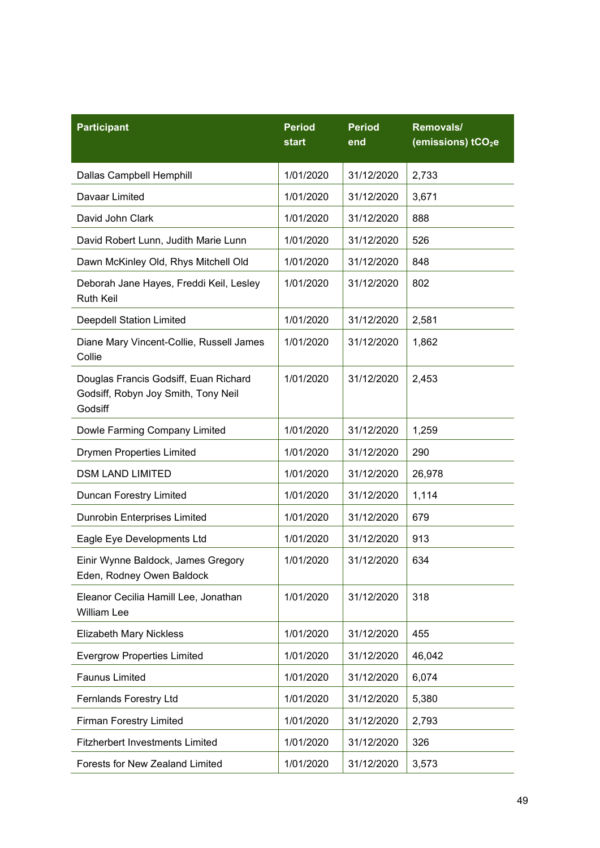| <b>Participant</b>                                                                      | <b>Period</b><br>start | <b>Period</b><br>end | Removals/<br>(emissions) tCO <sub>2</sub> e |
|-----------------------------------------------------------------------------------------|------------------------|----------------------|---------------------------------------------|
| Dallas Campbell Hemphill                                                                | 1/01/2020              | 31/12/2020           | 2,733                                       |
| Davaar Limited                                                                          | 1/01/2020              | 31/12/2020           | 3,671                                       |
| David John Clark                                                                        | 1/01/2020              | 31/12/2020           | 888                                         |
| David Robert Lunn, Judith Marie Lunn                                                    | 1/01/2020              | 31/12/2020           | 526                                         |
| Dawn McKinley Old, Rhys Mitchell Old                                                    | 1/01/2020              | 31/12/2020           | 848                                         |
| Deborah Jane Hayes, Freddi Keil, Lesley<br><b>Ruth Keil</b>                             | 1/01/2020              | 31/12/2020           | 802                                         |
| <b>Deepdell Station Limited</b>                                                         | 1/01/2020              | 31/12/2020           | 2,581                                       |
| Diane Mary Vincent-Collie, Russell James<br>Collie                                      | 1/01/2020              | 31/12/2020           | 1,862                                       |
| Douglas Francis Godsiff, Euan Richard<br>Godsiff, Robyn Joy Smith, Tony Neil<br>Godsiff | 1/01/2020              | 31/12/2020           | 2,453                                       |
| Dowle Farming Company Limited                                                           | 1/01/2020              | 31/12/2020           | 1,259                                       |
| <b>Drymen Properties Limited</b>                                                        | 1/01/2020              | 31/12/2020           | 290                                         |
| <b>DSM LAND LIMITED</b>                                                                 | 1/01/2020              | 31/12/2020           | 26,978                                      |
| Duncan Forestry Limited                                                                 | 1/01/2020              | 31/12/2020           | 1,114                                       |
| Dunrobin Enterprises Limited                                                            | 1/01/2020              | 31/12/2020           | 679                                         |
| Eagle Eye Developments Ltd                                                              | 1/01/2020              | 31/12/2020           | 913                                         |
| Einir Wynne Baldock, James Gregory<br>Eden, Rodney Owen Baldock                         | 1/01/2020              | 31/12/2020           | 634                                         |
| Eleanor Cecilia Hamill Lee, Jonathan<br>William Lee                                     | 1/01/2020              | 31/12/2020           | 318                                         |
| <b>Elizabeth Mary Nickless</b>                                                          | 1/01/2020              | 31/12/2020           | 455                                         |
| <b>Evergrow Properties Limited</b>                                                      | 1/01/2020              | 31/12/2020           | 46,042                                      |
| <b>Faunus Limited</b>                                                                   | 1/01/2020              | 31/12/2020           | 6,074                                       |
| Fernlands Forestry Ltd                                                                  | 1/01/2020              | 31/12/2020           | 5,380                                       |
| <b>Firman Forestry Limited</b>                                                          | 1/01/2020              | 31/12/2020           | 2,793                                       |
| <b>Fitzherbert Investments Limited</b>                                                  | 1/01/2020              | 31/12/2020           | 326                                         |
| Forests for New Zealand Limited                                                         | 1/01/2020              | 31/12/2020           | 3,573                                       |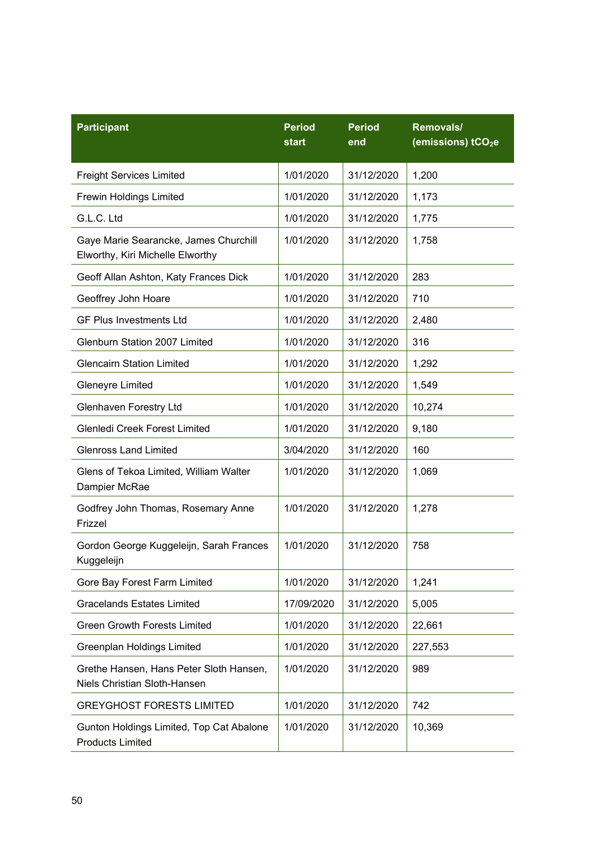| <b>Participant</b>                                                        | <b>Period</b><br>start | <b>Period</b><br>end | Removals/<br>(emissions) tCO <sub>2</sub> e |
|---------------------------------------------------------------------------|------------------------|----------------------|---------------------------------------------|
| <b>Freight Services Limited</b>                                           | 1/01/2020              | 31/12/2020           | 1,200                                       |
| <b>Frewin Holdings Limited</b>                                            | 1/01/2020              | 31/12/2020           | 1,173                                       |
| G.L.C. Ltd                                                                | 1/01/2020              | 31/12/2020           | 1,775                                       |
| Gaye Marie Searancke, James Churchill<br>Elworthy, Kiri Michelle Elworthy | 1/01/2020              | 31/12/2020           | 1,758                                       |
| Geoff Allan Ashton, Katy Frances Dick                                     | 1/01/2020              | 31/12/2020           | 283                                         |
| Geoffrey John Hoare                                                       | 1/01/2020              | 31/12/2020           | 710                                         |
| <b>GF Plus Investments Ltd</b>                                            | 1/01/2020              | 31/12/2020           | 2,480                                       |
| Glenburn Station 2007 Limited                                             | 1/01/2020              | 31/12/2020           | 316                                         |
| <b>Glencairn Station Limited</b>                                          | 1/01/2020              | 31/12/2020           | 1,292                                       |
| <b>Gleneyre Limited</b>                                                   | 1/01/2020              | 31/12/2020           | 1,549                                       |
| <b>Glenhaven Forestry Ltd</b>                                             | 1/01/2020              | 31/12/2020           | 10,274                                      |
| Glenledi Creek Forest Limited                                             | 1/01/2020              | 31/12/2020           | 9,180                                       |
| <b>Glenross Land Limited</b>                                              | 3/04/2020              | 31/12/2020           | 160                                         |
| Glens of Tekoa Limited, William Walter<br>Dampier McRae                   | 1/01/2020              | 31/12/2020           | 1,069                                       |
| Godfrey John Thomas, Rosemary Anne<br>Frizzel                             | 1/01/2020              | 31/12/2020           | 1,278                                       |
| Gordon George Kuggeleijn, Sarah Frances<br>Kuggeleijn                     | 1/01/2020              | 31/12/2020           | 758                                         |
| Gore Bay Forest Farm Limited                                              | 1/01/2020              | 31/12/2020           | 1,241                                       |
| <b>Gracelands Estates Limited</b>                                         | 17/09/2020             | 31/12/2020           | 5,005                                       |
| <b>Green Growth Forests Limited</b>                                       | 1/01/2020              | 31/12/2020           | 22,661                                      |
| Greenplan Holdings Limited                                                | 1/01/2020              | 31/12/2020           | 227,553                                     |
| Grethe Hansen, Hans Peter Sloth Hansen,<br>Niels Christian Sloth-Hansen   | 1/01/2020              | 31/12/2020           | 989                                         |
| <b>GREYGHOST FORESTS LIMITED</b>                                          | 1/01/2020              | 31/12/2020           | 742                                         |
| Gunton Holdings Limited, Top Cat Abalone<br><b>Products Limited</b>       | 1/01/2020              | 31/12/2020           | 10,369                                      |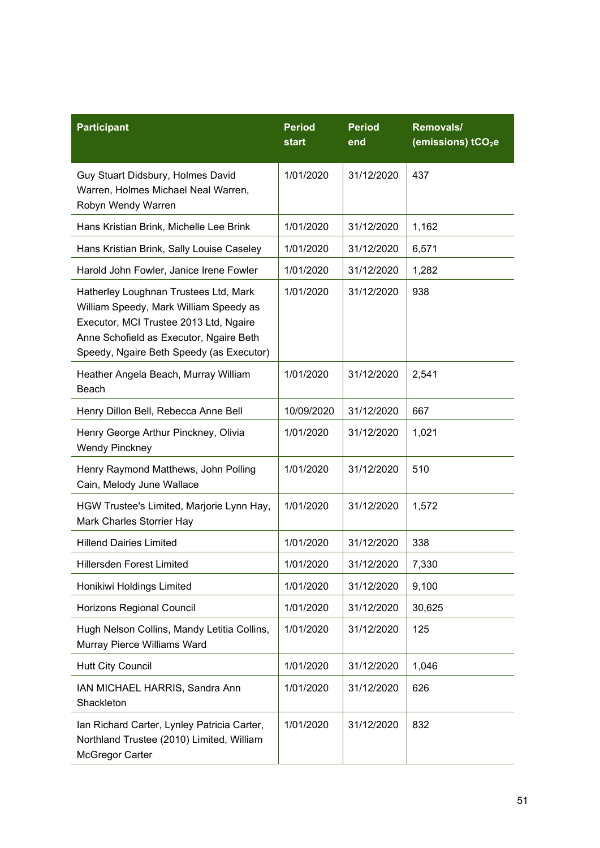| <b>Participant</b>                                                                                                                                                                                               | <b>Period</b><br>start | <b>Period</b><br>end | Removals/<br>(emissions) tCO <sub>2</sub> e |
|------------------------------------------------------------------------------------------------------------------------------------------------------------------------------------------------------------------|------------------------|----------------------|---------------------------------------------|
| Guy Stuart Didsbury, Holmes David<br>Warren, Holmes Michael Neal Warren,<br>Robyn Wendy Warren                                                                                                                   | 1/01/2020              | 31/12/2020           | 437                                         |
| Hans Kristian Brink, Michelle Lee Brink                                                                                                                                                                          | 1/01/2020              | 31/12/2020           | 1,162                                       |
| Hans Kristian Brink, Sally Louise Caseley                                                                                                                                                                        | 1/01/2020              | 31/12/2020           | 6,571                                       |
| Harold John Fowler, Janice Irene Fowler                                                                                                                                                                          | 1/01/2020              | 31/12/2020           | 1,282                                       |
| Hatherley Loughnan Trustees Ltd, Mark<br>William Speedy, Mark William Speedy as<br>Executor, MCI Trustee 2013 Ltd, Ngaire<br>Anne Schofield as Executor, Ngaire Beth<br>Speedy, Ngaire Beth Speedy (as Executor) | 1/01/2020              | 31/12/2020           | 938                                         |
| Heather Angela Beach, Murray William<br>Beach                                                                                                                                                                    | 1/01/2020              | 31/12/2020           | 2,541                                       |
| Henry Dillon Bell, Rebecca Anne Bell                                                                                                                                                                             | 10/09/2020             | 31/12/2020           | 667                                         |
| Henry George Arthur Pinckney, Olivia<br><b>Wendy Pinckney</b>                                                                                                                                                    | 1/01/2020              | 31/12/2020           | 1,021                                       |
| Henry Raymond Matthews, John Polling<br>Cain, Melody June Wallace                                                                                                                                                | 1/01/2020              | 31/12/2020           | 510                                         |
| HGW Trustee's Limited, Marjorie Lynn Hay,<br>Mark Charles Storrier Hay                                                                                                                                           | 1/01/2020              | 31/12/2020           | 1,572                                       |
| <b>Hillend Dairies Limited</b>                                                                                                                                                                                   | 1/01/2020              | 31/12/2020           | 338                                         |
| Hillersden Forest Limited                                                                                                                                                                                        | 1/01/2020              | 31/12/2020           | 7,330                                       |
| Honikiwi Holdings Limited                                                                                                                                                                                        | 1/01/2020              | 31/12/2020           | 9,100                                       |
| Horizons Regional Council                                                                                                                                                                                        | 1/01/2020              | 31/12/2020           | 30,625                                      |
| Hugh Nelson Collins, Mandy Letitia Collins,<br>Murray Pierce Williams Ward                                                                                                                                       | 1/01/2020              | 31/12/2020           | 125                                         |
| <b>Hutt City Council</b>                                                                                                                                                                                         | 1/01/2020              | 31/12/2020           | 1,046                                       |
| IAN MICHAEL HARRIS, Sandra Ann<br>Shackleton                                                                                                                                                                     | 1/01/2020              | 31/12/2020           | 626                                         |
| Ian Richard Carter, Lynley Patricia Carter,<br>Northland Trustee (2010) Limited, William<br>McGregor Carter                                                                                                      | 1/01/2020              | 31/12/2020           | 832                                         |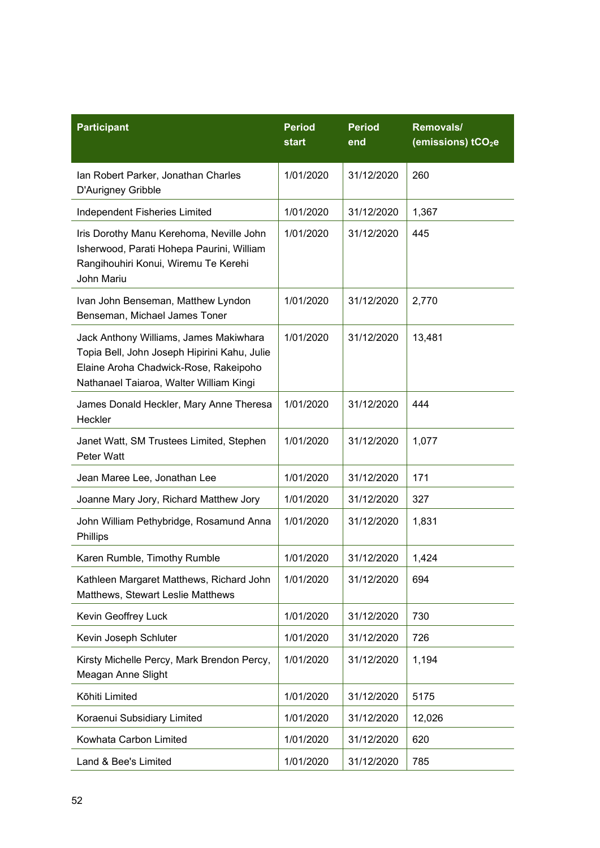| <b>Participant</b>                                                                                                                                                         | <b>Period</b><br>start | <b>Period</b><br>end | Removals/<br>(emissions) tCO <sub>2</sub> e |
|----------------------------------------------------------------------------------------------------------------------------------------------------------------------------|------------------------|----------------------|---------------------------------------------|
| Ian Robert Parker, Jonathan Charles<br>D'Aurigney Gribble                                                                                                                  | 1/01/2020              | 31/12/2020           | 260                                         |
| Independent Fisheries Limited                                                                                                                                              | 1/01/2020              | 31/12/2020           | 1,367                                       |
| Iris Dorothy Manu Kerehoma, Neville John<br>Isherwood, Parati Hohepa Paurini, William<br>Rangihouhiri Konui, Wiremu Te Kerehi<br>John Mariu                                | 1/01/2020              | 31/12/2020           | 445                                         |
| Ivan John Benseman, Matthew Lyndon<br>Benseman, Michael James Toner                                                                                                        | 1/01/2020              | 31/12/2020           | 2,770                                       |
| Jack Anthony Williams, James Makiwhara<br>Topia Bell, John Joseph Hipirini Kahu, Julie<br>Elaine Aroha Chadwick-Rose, Rakeipoho<br>Nathanael Taiaroa, Walter William Kingi | 1/01/2020              | 31/12/2020           | 13,481                                      |
| James Donald Heckler, Mary Anne Theresa<br>Heckler                                                                                                                         | 1/01/2020              | 31/12/2020           | 444                                         |
| Janet Watt, SM Trustees Limited, Stephen<br>Peter Watt                                                                                                                     | 1/01/2020              | 31/12/2020           | 1,077                                       |
| Jean Maree Lee, Jonathan Lee                                                                                                                                               | 1/01/2020              | 31/12/2020           | 171                                         |
| Joanne Mary Jory, Richard Matthew Jory                                                                                                                                     | 1/01/2020              | 31/12/2020           | 327                                         |
| John William Pethybridge, Rosamund Anna<br>Phillips                                                                                                                        | 1/01/2020              | 31/12/2020           | 1,831                                       |
| Karen Rumble, Timothy Rumble                                                                                                                                               | 1/01/2020              | 31/12/2020           | 1,424                                       |
| Kathleen Margaret Matthews, Richard John<br>Matthews, Stewart Leslie Matthews                                                                                              | 1/01/2020              | 31/12/2020           | 694                                         |
| Kevin Geoffrey Luck                                                                                                                                                        | 1/01/2020              | 31/12/2020           | 730                                         |
| Kevin Joseph Schluter                                                                                                                                                      | 1/01/2020              | 31/12/2020           | 726                                         |
| Kirsty Michelle Percy, Mark Brendon Percy,<br>Meagan Anne Slight                                                                                                           | 1/01/2020              | 31/12/2020           | 1,194                                       |
| Kōhiti Limited                                                                                                                                                             | 1/01/2020              | 31/12/2020           | 5175                                        |
| Koraenui Subsidiary Limited                                                                                                                                                | 1/01/2020              | 31/12/2020           | 12,026                                      |
| Kowhata Carbon Limited                                                                                                                                                     | 1/01/2020              | 31/12/2020           | 620                                         |
| Land & Bee's Limited                                                                                                                                                       | 1/01/2020              | 31/12/2020           | 785                                         |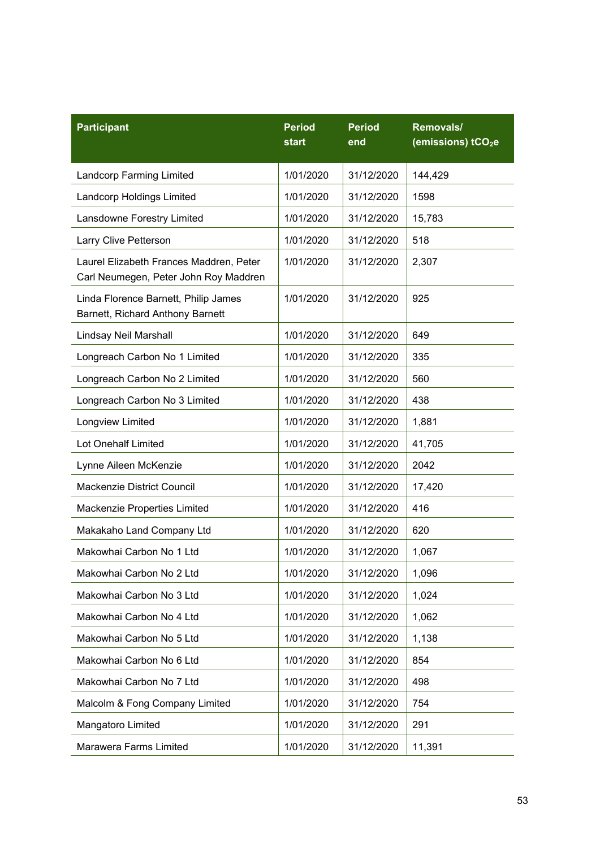| <b>Participant</b>                                                               | <b>Period</b><br>start | <b>Period</b><br>end | Removals/<br>(emissions) tCO <sub>2</sub> e |
|----------------------------------------------------------------------------------|------------------------|----------------------|---------------------------------------------|
| <b>Landcorp Farming Limited</b>                                                  | 1/01/2020              | 31/12/2020           | 144,429                                     |
| <b>Landcorp Holdings Limited</b>                                                 | 1/01/2020              | 31/12/2020           | 1598                                        |
| Lansdowne Forestry Limited                                                       | 1/01/2020              | 31/12/2020           | 15,783                                      |
| Larry Clive Petterson                                                            | 1/01/2020              | 31/12/2020           | 518                                         |
| Laurel Elizabeth Frances Maddren, Peter<br>Carl Neumegen, Peter John Roy Maddren | 1/01/2020              | 31/12/2020           | 2,307                                       |
| Linda Florence Barnett, Philip James<br>Barnett, Richard Anthony Barnett         | 1/01/2020              | 31/12/2020           | 925                                         |
| Lindsay Neil Marshall                                                            | 1/01/2020              | 31/12/2020           | 649                                         |
| Longreach Carbon No 1 Limited                                                    | 1/01/2020              | 31/12/2020           | 335                                         |
| Longreach Carbon No 2 Limited                                                    | 1/01/2020              | 31/12/2020           | 560                                         |
| Longreach Carbon No 3 Limited                                                    | 1/01/2020              | 31/12/2020           | 438                                         |
| Longview Limited                                                                 | 1/01/2020              | 31/12/2020           | 1,881                                       |
| Lot Onehalf Limited                                                              | 1/01/2020              | 31/12/2020           | 41,705                                      |
| Lynne Aileen McKenzie                                                            | 1/01/2020              | 31/12/2020           | 2042                                        |
| <b>Mackenzie District Council</b>                                                | 1/01/2020              | 31/12/2020           | 17,420                                      |
| Mackenzie Properties Limited                                                     | 1/01/2020              | 31/12/2020           | 416                                         |
| Makakaho Land Company Ltd                                                        | 1/01/2020              | 31/12/2020           | 620                                         |
| Makowhai Carbon No 1 Ltd                                                         | 1/01/2020              | 31/12/2020           | 1,067                                       |
| Makowhai Carbon No 2 Ltd                                                         | 1/01/2020              | 31/12/2020           | 1,096                                       |
| Makowhai Carbon No 3 Ltd                                                         | 1/01/2020              | 31/12/2020           | 1,024                                       |
| Makowhai Carbon No 4 Ltd                                                         | 1/01/2020              | 31/12/2020           | 1,062                                       |
| Makowhai Carbon No 5 Ltd                                                         | 1/01/2020              | 31/12/2020           | 1,138                                       |
| Makowhai Carbon No 6 Ltd                                                         | 1/01/2020              | 31/12/2020           | 854                                         |
| Makowhai Carbon No 7 Ltd                                                         | 1/01/2020              | 31/12/2020           | 498                                         |
| Malcolm & Fong Company Limited                                                   | 1/01/2020              | 31/12/2020           | 754                                         |
| Mangatoro Limited                                                                | 1/01/2020              | 31/12/2020           | 291                                         |
| Marawera Farms Limited                                                           | 1/01/2020              | 31/12/2020           | 11,391                                      |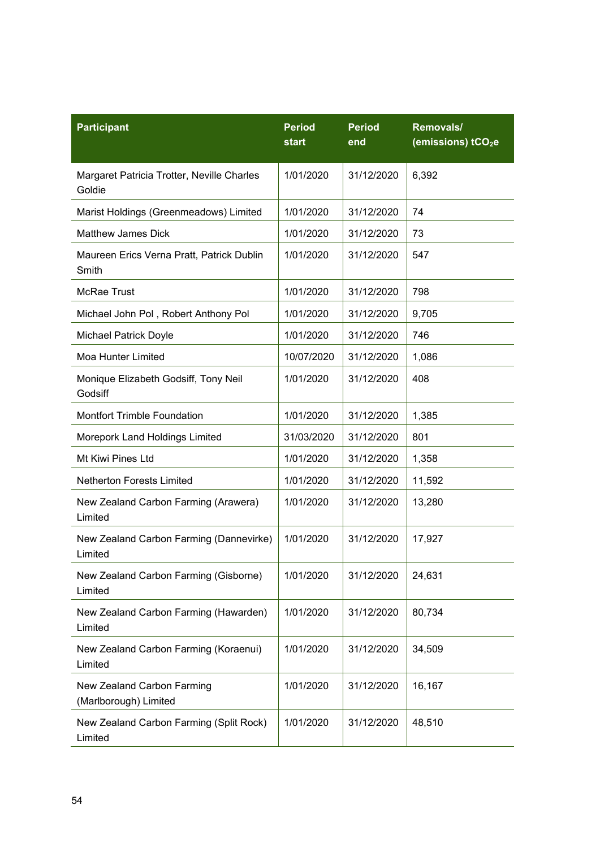| <b>Participant</b>                                   | <b>Period</b><br>start | <b>Period</b><br>end | Removals/<br>(emissions) tCO <sub>2</sub> e |
|------------------------------------------------------|------------------------|----------------------|---------------------------------------------|
| Margaret Patricia Trotter, Neville Charles<br>Goldie | 1/01/2020              | 31/12/2020           | 6,392                                       |
| Marist Holdings (Greenmeadows) Limited               | 1/01/2020              | 31/12/2020           | 74                                          |
| <b>Matthew James Dick</b>                            | 1/01/2020              | 31/12/2020           | 73                                          |
| Maureen Erics Verna Pratt, Patrick Dublin<br>Smith   | 1/01/2020              | 31/12/2020           | 547                                         |
| <b>McRae Trust</b>                                   | 1/01/2020              | 31/12/2020           | 798                                         |
| Michael John Pol, Robert Anthony Pol                 | 1/01/2020              | 31/12/2020           | 9,705                                       |
| <b>Michael Patrick Doyle</b>                         | 1/01/2020              | 31/12/2020           | 746                                         |
| <b>Moa Hunter Limited</b>                            | 10/07/2020             | 31/12/2020           | 1,086                                       |
| Monique Elizabeth Godsiff, Tony Neil<br>Godsiff      | 1/01/2020              | 31/12/2020           | 408                                         |
| <b>Montfort Trimble Foundation</b>                   | 1/01/2020              | 31/12/2020           | 1,385                                       |
| Morepork Land Holdings Limited                       | 31/03/2020             | 31/12/2020           | 801                                         |
| Mt Kiwi Pines Ltd                                    | 1/01/2020              | 31/12/2020           | 1,358                                       |
| <b>Netherton Forests Limited</b>                     | 1/01/2020              | 31/12/2020           | 11,592                                      |
| New Zealand Carbon Farming (Arawera)<br>Limited      | 1/01/2020              | 31/12/2020           | 13,280                                      |
| New Zealand Carbon Farming (Dannevirke)<br>Limited   | 1/01/2020              | 31/12/2020           | 17,927                                      |
| New Zealand Carbon Farming (Gisborne)<br>Limited     | 1/01/2020              | 31/12/2020           | 24,631                                      |
| New Zealand Carbon Farming (Hawarden)<br>Limited     | 1/01/2020              | 31/12/2020           | 80,734                                      |
| New Zealand Carbon Farming (Koraenui)<br>Limited     | 1/01/2020              | 31/12/2020           | 34,509                                      |
| New Zealand Carbon Farming<br>(Marlborough) Limited  | 1/01/2020              | 31/12/2020           | 16,167                                      |
| New Zealand Carbon Farming (Split Rock)<br>Limited   | 1/01/2020              | 31/12/2020           | 48,510                                      |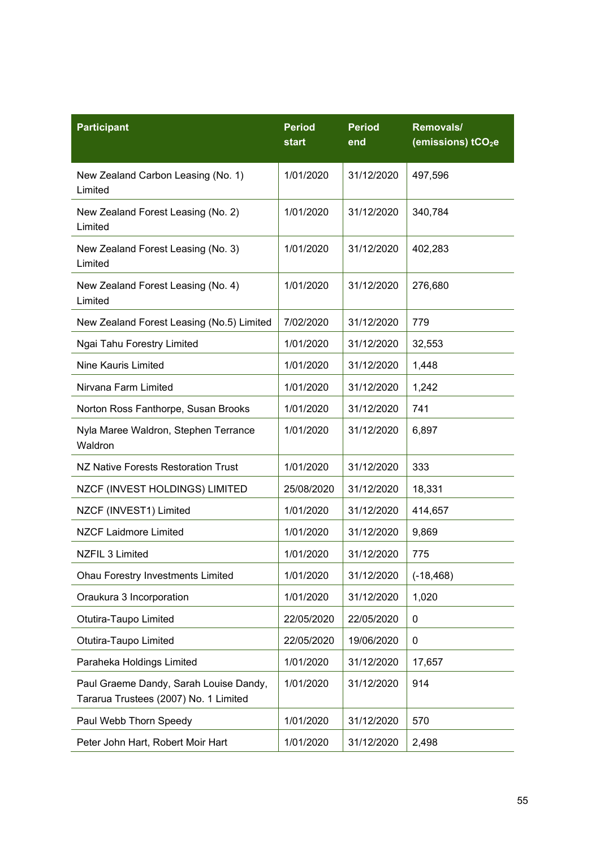| <b>Participant</b>                                                              | <b>Period</b><br>start | <b>Period</b><br>end | Removals/<br>(emissions) tCO <sub>2</sub> e |
|---------------------------------------------------------------------------------|------------------------|----------------------|---------------------------------------------|
| New Zealand Carbon Leasing (No. 1)<br>Limited                                   | 1/01/2020              | 31/12/2020           | 497,596                                     |
| New Zealand Forest Leasing (No. 2)<br>Limited                                   | 1/01/2020              | 31/12/2020           | 340,784                                     |
| New Zealand Forest Leasing (No. 3)<br>Limited                                   | 1/01/2020              | 31/12/2020           | 402,283                                     |
| New Zealand Forest Leasing (No. 4)<br>Limited                                   | 1/01/2020              | 31/12/2020           | 276,680                                     |
| New Zealand Forest Leasing (No.5) Limited                                       | 7/02/2020              | 31/12/2020           | 779                                         |
| Ngai Tahu Forestry Limited                                                      | 1/01/2020              | 31/12/2020           | 32,553                                      |
| Nine Kauris Limited                                                             | 1/01/2020              | 31/12/2020           | 1,448                                       |
| Nirvana Farm Limited                                                            | 1/01/2020              | 31/12/2020           | 1,242                                       |
| Norton Ross Fanthorpe, Susan Brooks                                             | 1/01/2020              | 31/12/2020           | 741                                         |
| Nyla Maree Waldron, Stephen Terrance<br>Waldron                                 | 1/01/2020              | 31/12/2020           | 6,897                                       |
| NZ Native Forests Restoration Trust                                             | 1/01/2020              | 31/12/2020           | 333                                         |
| NZCF (INVEST HOLDINGS) LIMITED                                                  | 25/08/2020             | 31/12/2020           | 18,331                                      |
| NZCF (INVEST1) Limited                                                          | 1/01/2020              | 31/12/2020           | 414,657                                     |
| <b>NZCF Laidmore Limited</b>                                                    | 1/01/2020              | 31/12/2020           | 9,869                                       |
| NZFIL 3 Limited                                                                 | 1/01/2020              | 31/12/2020           | 775                                         |
| <b>Ohau Forestry Investments Limited</b>                                        | 1/01/2020              | 31/12/2020           | $(-18, 468)$                                |
| Oraukura 3 Incorporation                                                        | 1/01/2020              | 31/12/2020           | 1,020                                       |
| Otutira-Taupo Limited                                                           | 22/05/2020             | 22/05/2020           | 0                                           |
| Otutira-Taupo Limited                                                           | 22/05/2020             | 19/06/2020           | 0                                           |
| Paraheka Holdings Limited                                                       | 1/01/2020              | 31/12/2020           | 17,657                                      |
| Paul Graeme Dandy, Sarah Louise Dandy,<br>Tararua Trustees (2007) No. 1 Limited | 1/01/2020              | 31/12/2020           | 914                                         |
| Paul Webb Thorn Speedy                                                          | 1/01/2020              | 31/12/2020           | 570                                         |
| Peter John Hart, Robert Moir Hart                                               | 1/01/2020              | 31/12/2020           | 2,498                                       |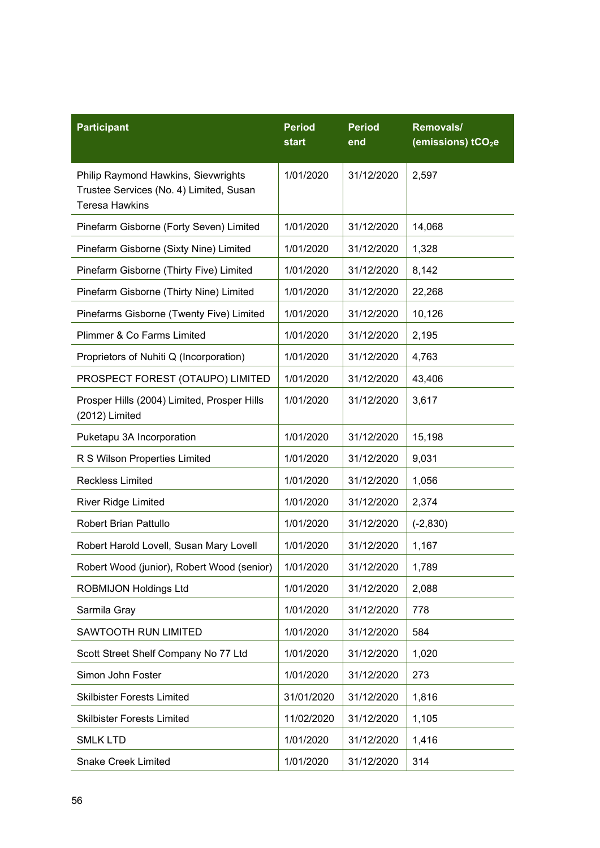| <b>Participant</b>                                                                                      | <b>Period</b><br>start | <b>Period</b><br>end | Removals/<br>(emissions) tCO <sub>2</sub> e |
|---------------------------------------------------------------------------------------------------------|------------------------|----------------------|---------------------------------------------|
| Philip Raymond Hawkins, Sievwrights<br>Trustee Services (No. 4) Limited, Susan<br><b>Teresa Hawkins</b> | 1/01/2020              | 31/12/2020           | 2,597                                       |
| Pinefarm Gisborne (Forty Seven) Limited                                                                 | 1/01/2020              | 31/12/2020           | 14,068                                      |
| Pinefarm Gisborne (Sixty Nine) Limited                                                                  | 1/01/2020              | 31/12/2020           | 1,328                                       |
| Pinefarm Gisborne (Thirty Five) Limited                                                                 | 1/01/2020              | 31/12/2020           | 8,142                                       |
| Pinefarm Gisborne (Thirty Nine) Limited                                                                 | 1/01/2020              | 31/12/2020           | 22,268                                      |
| Pinefarms Gisborne (Twenty Five) Limited                                                                | 1/01/2020              | 31/12/2020           | 10,126                                      |
| Plimmer & Co Farms Limited                                                                              | 1/01/2020              | 31/12/2020           | 2,195                                       |
| Proprietors of Nuhiti Q (Incorporation)                                                                 | 1/01/2020              | 31/12/2020           | 4,763                                       |
| PROSPECT FOREST (OTAUPO) LIMITED                                                                        | 1/01/2020              | 31/12/2020           | 43,406                                      |
| Prosper Hills (2004) Limited, Prosper Hills<br>(2012) Limited                                           | 1/01/2020              | 31/12/2020           | 3,617                                       |
| Puketapu 3A Incorporation                                                                               | 1/01/2020              | 31/12/2020           | 15,198                                      |
| R S Wilson Properties Limited                                                                           | 1/01/2020              | 31/12/2020           | 9,031                                       |
| <b>Reckless Limited</b>                                                                                 | 1/01/2020              | 31/12/2020           | 1,056                                       |
| <b>River Ridge Limited</b>                                                                              | 1/01/2020              | 31/12/2020           | 2,374                                       |
| <b>Robert Brian Pattullo</b>                                                                            | 1/01/2020              | 31/12/2020           | $(-2, 830)$                                 |
| Robert Harold Lovell, Susan Mary Lovell                                                                 | 1/01/2020              | 31/12/2020           | 1,167                                       |
| Robert Wood (junior), Robert Wood (senior)                                                              | 1/01/2020              | 31/12/2020           | 1,789                                       |
| <b>ROBMIJON Holdings Ltd</b>                                                                            | 1/01/2020              | 31/12/2020           | 2,088                                       |
| Sarmila Gray                                                                                            | 1/01/2020              | 31/12/2020           | 778                                         |
| SAWTOOTH RUN LIMITED                                                                                    | 1/01/2020              | 31/12/2020           | 584                                         |
| Scott Street Shelf Company No 77 Ltd                                                                    | 1/01/2020              | 31/12/2020           | 1,020                                       |
| Simon John Foster                                                                                       | 1/01/2020              | 31/12/2020           | 273                                         |
| <b>Skilbister Forests Limited</b>                                                                       | 31/01/2020             | 31/12/2020           | 1,816                                       |
| <b>Skilbister Forests Limited</b>                                                                       | 11/02/2020             | 31/12/2020           | 1,105                                       |
| <b>SMLK LTD</b>                                                                                         | 1/01/2020              | 31/12/2020           | 1,416                                       |
| <b>Snake Creek Limited</b>                                                                              | 1/01/2020              | 31/12/2020           | 314                                         |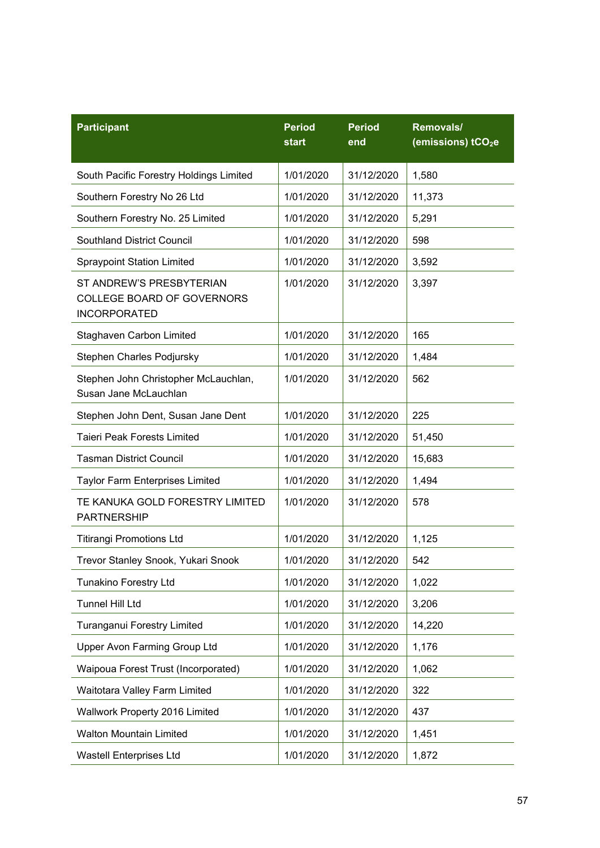| <b>Participant</b>                                                            | <b>Period</b><br>start | <b>Period</b><br>end | Removals/<br>(emissions) tCO <sub>2</sub> e |
|-------------------------------------------------------------------------------|------------------------|----------------------|---------------------------------------------|
| South Pacific Forestry Holdings Limited                                       | 1/01/2020              | 31/12/2020           | 1,580                                       |
| Southern Forestry No 26 Ltd                                                   | 1/01/2020              | 31/12/2020           | 11,373                                      |
| Southern Forestry No. 25 Limited                                              | 1/01/2020              | 31/12/2020           | 5,291                                       |
| <b>Southland District Council</b>                                             | 1/01/2020              | 31/12/2020           | 598                                         |
| <b>Spraypoint Station Limited</b>                                             | 1/01/2020              | 31/12/2020           | 3,592                                       |
| ST ANDREW'S PRESBYTERIAN<br>COLLEGE BOARD OF GOVERNORS<br><b>INCORPORATED</b> | 1/01/2020              | 31/12/2020           | 3,397                                       |
| Staghaven Carbon Limited                                                      | 1/01/2020              | 31/12/2020           | 165                                         |
| Stephen Charles Podjursky                                                     | 1/01/2020              | 31/12/2020           | 1,484                                       |
| Stephen John Christopher McLauchlan,<br>Susan Jane McLauchlan                 | 1/01/2020              | 31/12/2020           | 562                                         |
| Stephen John Dent, Susan Jane Dent                                            | 1/01/2020              | 31/12/2020           | 225                                         |
| <b>Taieri Peak Forests Limited</b>                                            | 1/01/2020              | 31/12/2020           | 51,450                                      |
| <b>Tasman District Council</b>                                                | 1/01/2020              | 31/12/2020           | 15,683                                      |
| <b>Taylor Farm Enterprises Limited</b>                                        | 1/01/2020              | 31/12/2020           | 1,494                                       |
| TE KANUKA GOLD FORESTRY LIMITED<br><b>PARTNERSHIP</b>                         | 1/01/2020              | 31/12/2020           | 578                                         |
| <b>Titirangi Promotions Ltd</b>                                               | 1/01/2020              | 31/12/2020           | 1,125                                       |
| Trevor Stanley Snook, Yukari Snook                                            | 1/01/2020              | 31/12/2020           | 542                                         |
| <b>Tunakino Forestry Ltd</b>                                                  | 1/01/2020              | 31/12/2020           | 1,022                                       |
| <b>Tunnel Hill Ltd</b>                                                        | 1/01/2020              | 31/12/2020           | 3,206                                       |
| Turanganui Forestry Limited                                                   | 1/01/2020              | 31/12/2020           | 14,220                                      |
| <b>Upper Avon Farming Group Ltd</b>                                           | 1/01/2020              | 31/12/2020           | 1,176                                       |
| Waipoua Forest Trust (Incorporated)                                           | 1/01/2020              | 31/12/2020           | 1,062                                       |
| Waitotara Valley Farm Limited                                                 | 1/01/2020              | 31/12/2020           | 322                                         |
| Wallwork Property 2016 Limited                                                | 1/01/2020              | 31/12/2020           | 437                                         |
| <b>Walton Mountain Limited</b>                                                | 1/01/2020              | 31/12/2020           | 1,451                                       |
| <b>Wastell Enterprises Ltd</b>                                                | 1/01/2020              | 31/12/2020           | 1,872                                       |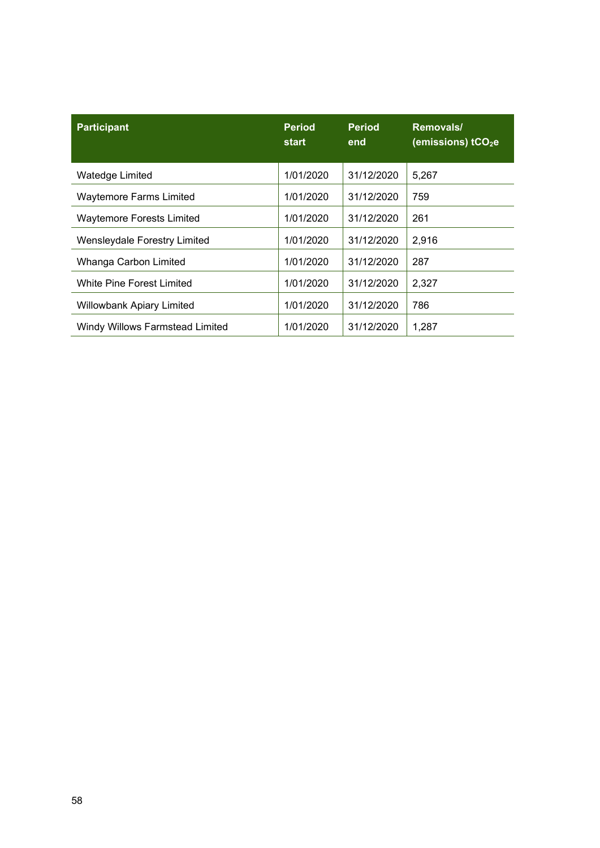| <b>Participant</b>               | <b>Period</b><br>start | <b>Period</b><br>end | Removals/<br>(emissions) tCO <sub>2</sub> e |
|----------------------------------|------------------------|----------------------|---------------------------------------------|
| Watedge Limited                  | 1/01/2020              | 31/12/2020           | 5,267                                       |
| <b>Waytemore Farms Limited</b>   | 1/01/2020              | 31/12/2020           | 759                                         |
| <b>Waytemore Forests Limited</b> | 1/01/2020              | 31/12/2020           | 261                                         |
| Wensleydale Forestry Limited     | 1/01/2020              | 31/12/2020           | 2,916                                       |
| Whanga Carbon Limited            | 1/01/2020              | 31/12/2020           | 287                                         |
| White Pine Forest Limited        | 1/01/2020              | 31/12/2020           | 2,327                                       |
| <b>Willowbank Apiary Limited</b> | 1/01/2020              | 31/12/2020           | 786                                         |
| Windy Willows Farmstead Limited  | 1/01/2020              | 31/12/2020           | 1,287                                       |